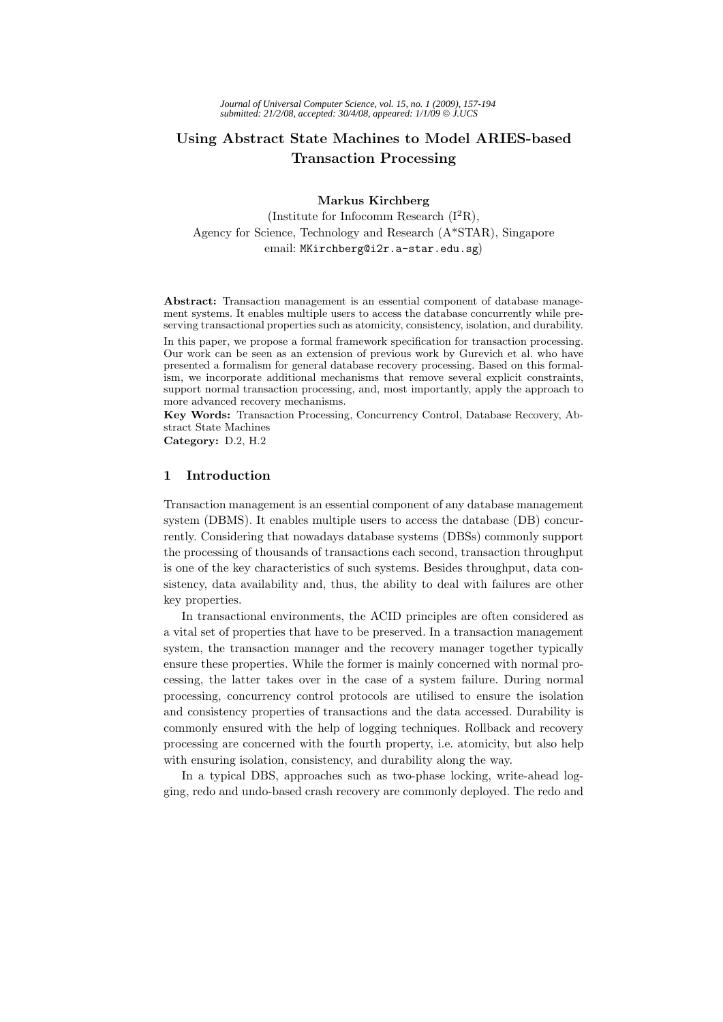# **Using Abstract State Machines to Model ARIES-based Transaction Processing**

#### **Markus Kirchberg**

(Institute for Infocomm Research  $(I^2R)$ , Agency for Science, Technology and Research (A\*STAR), Singapore email: MKirchberg@i2r.a-star.edu.sg)

**Abstract:** Transaction management is an essential component of database management systems. It enables multiple users to access the database concurrently while preserving transactional properties such as atomicity, consistency, isolation, and durability.

In this paper, we propose a formal framework specification for transaction processing. Our work can be seen as an extension of previous work by Gurevich et al. who have presented a formalism for general database recovery processing. Based on this formalism, we incorporate additional mechanisms that remove several explicit constraints, support normal transaction processing, and, most importantly, apply the approach to more advanced recovery mechanisms.

**Key Words:** Transaction Processing, Concurrency Control, Database Recovery, Abstract State Machines

**Category:** D.2, H.2

## **1 Introduction**

Transaction management is an essential component of any database management system (DBMS). It enables multiple users to access the database (DB) concurrently. Considering that nowadays database systems (DBSs) commonly support the processing of thousands of transactions each second, transaction throughput is one of the key characteristics of such systems. Besides throughput, data consistency, data availability and, thus, the ability to deal with failures are other key properties.

In transactional environments, the ACID principles are often considered as a vital set of properties that have to be preserved. In a transaction management system, the transaction manager and the recovery manager together typically ensure these properties. While the former is mainly concerned with normal processing, the latter takes over in the case of a system failure. During normal processing, concurrency control protocols are utilised to ensure the isolation and consistency properties of transactions and the data accessed. Durability is commonly ensured with the help of logging techniques. Rollback and recovery processing are concerned with the fourth property, i.e. atomicity, but also help with ensuring isolation, consistency, and durability along the way.

In a typical DBS, approaches such as two-phase locking, write-ahead logging, redo and undo-based crash recovery are commonly deployed. The redo and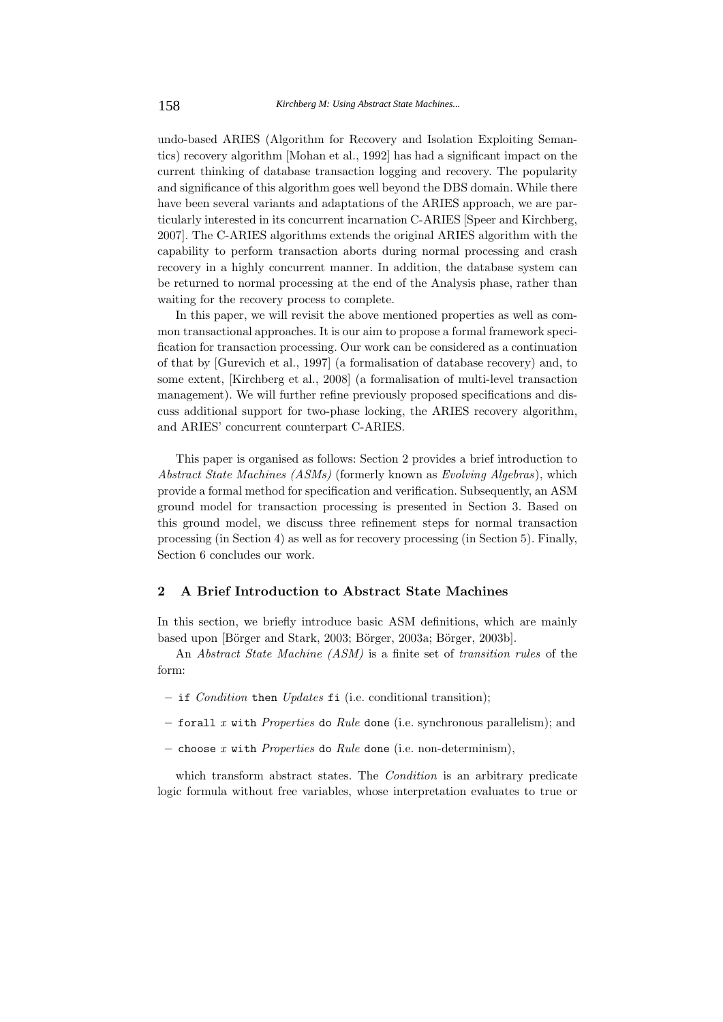undo-based ARIES (Algorithm for Recovery and Isolation Exploiting Semantics) recovery algorithm [Mohan et al., 1992] has had a significant impact on the current thinking of database transaction logging and recovery. The popularity and significance of this algorithm goes well beyond the DBS domain. While there have been several variants and adaptations of the ARIES approach, we are particularly interested in its concurrent incarnation C-ARIES [Speer and Kirchberg, 2007]. The C-ARIES algorithms extends the original ARIES algorithm with the capability to perform transaction aborts during normal processing and crash recovery in a highly concurrent manner. In addition, the database system can be returned to normal processing at the end of the Analysis phase, rather than waiting for the recovery process to complete.

In this paper, we will revisit the above mentioned properties as well as common transactional approaches. It is our aim to propose a formal framework specification for transaction processing. Our work can be considered as a continuation of that by [Gurevich et al., 1997] (a formalisation of database recovery) and, to some extent, [Kirchberg et al., 2008] (a formalisation of multi-level transaction management). We will further refine previously proposed specifications and discuss additional support for two-phase locking, the ARIES recovery algorithm, and ARIES' concurrent counterpart C-ARIES.

This paper is organised as follows: Section 2 provides a brief introduction to *Abstract State Machines (ASMs)* (formerly known as *Evolving Algebras*), which provide a formal method for specification and verification. Subsequently, an ASM ground model for transaction processing is presented in Section 3. Based on this ground model, we discuss three refinement steps for normal transaction processing (in Section 4) as well as for recovery processing (in Section 5). Finally, Section 6 concludes our work.

# **2 A Brief Introduction to Abstract State Machines**

In this section, we briefly introduce basic ASM definitions, which are mainly based upon [Börger and Stark, 2003; Börger, 2003a; Börger, 2003b].

An *Abstract State Machine (ASM)* is a finite set of *transition rules* of the form:

- **–** if *Condition* then *Updates* fi (i.e. conditional transition);
- **–** forall *x* with *Properties* do *Rule* done (i.e. synchronous parallelism); and
- **–** choose *x* with *Properties* do *Rule* done (i.e. non-determinism),

which transform abstract states. The *Condition* is an arbitrary predicate logic formula without free variables, whose interpretation evaluates to true or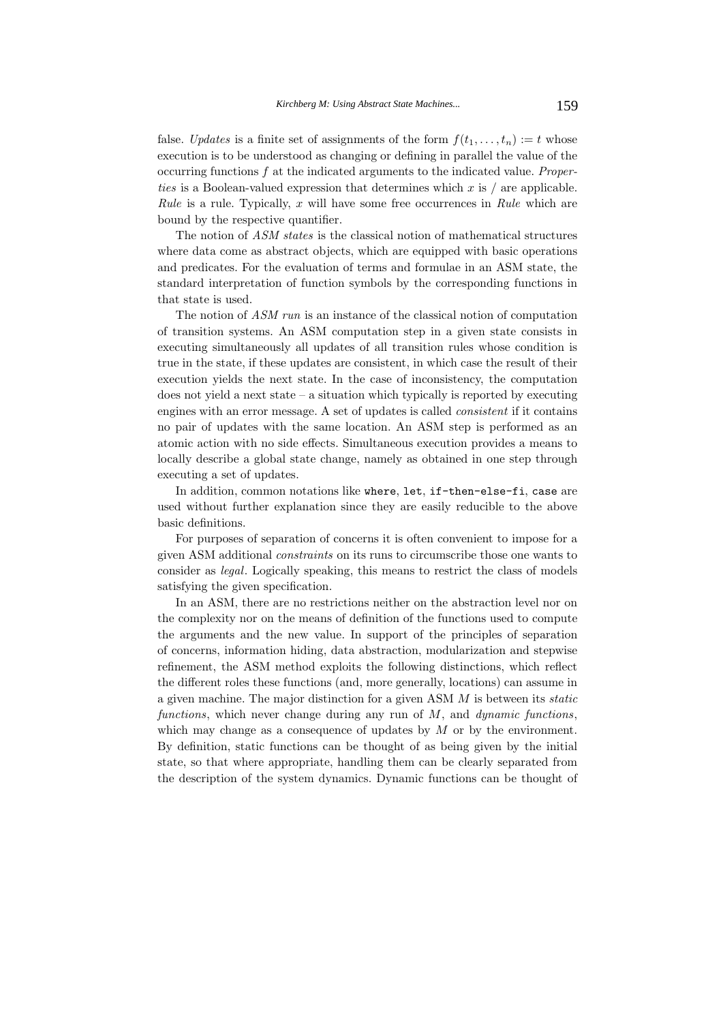false. *Updates* is a finite set of assignments of the form  $f(t_1,...,t_n) := t$  whose execution is to be understood as changing or defining in parallel the value of the occurring functions f at the indicated arguments to the indicated value. *Properties* is a Boolean-valued expression that determines which x is / are applicable. *Rule* is a rule. Typically, x will have some free occurrences in *Rule* which are bound by the respective quantifier.

The notion of *ASM states* is the classical notion of mathematical structures where data come as abstract objects, which are equipped with basic operations and predicates. For the evaluation of terms and formulae in an ASM state, the standard interpretation of function symbols by the corresponding functions in that state is used.

The notion of *ASM run* is an instance of the classical notion of computation of transition systems. An ASM computation step in a given state consists in executing simultaneously all updates of all transition rules whose condition is true in the state, if these updates are consistent, in which case the result of their execution yields the next state. In the case of inconsistency, the computation does not yield a next state – a situation which typically is reported by executing engines with an error message. A set of updates is called *consistent* if it contains no pair of updates with the same location. An ASM step is performed as an atomic action with no side effects. Simultaneous execution provides a means to locally describe a global state change, namely as obtained in one step through executing a set of updates.

In addition, common notations like where, let, if-then-else-fi, case are used without further explanation since they are easily reducible to the above basic definitions.

For purposes of separation of concerns it is often convenient to impose for a given ASM additional *constraints* on its runs to circumscribe those one wants to consider as *legal*. Logically speaking, this means to restrict the class of models satisfying the given specification.

In an ASM, there are no restrictions neither on the abstraction level nor on the complexity nor on the means of definition of the functions used to compute the arguments and the new value. In support of the principles of separation of concerns, information hiding, data abstraction, modularization and stepwise refinement, the ASM method exploits the following distinctions, which reflect the different roles these functions (and, more generally, locations) can assume in a given machine. The major distinction for a given ASM M is between its *static functions*, which never change during any run of M, and *dynamic functions*, which may change as a consequence of updates by  $M$  or by the environment. By definition, static functions can be thought of as being given by the initial state, so that where appropriate, handling them can be clearly separated from the description of the system dynamics. Dynamic functions can be thought of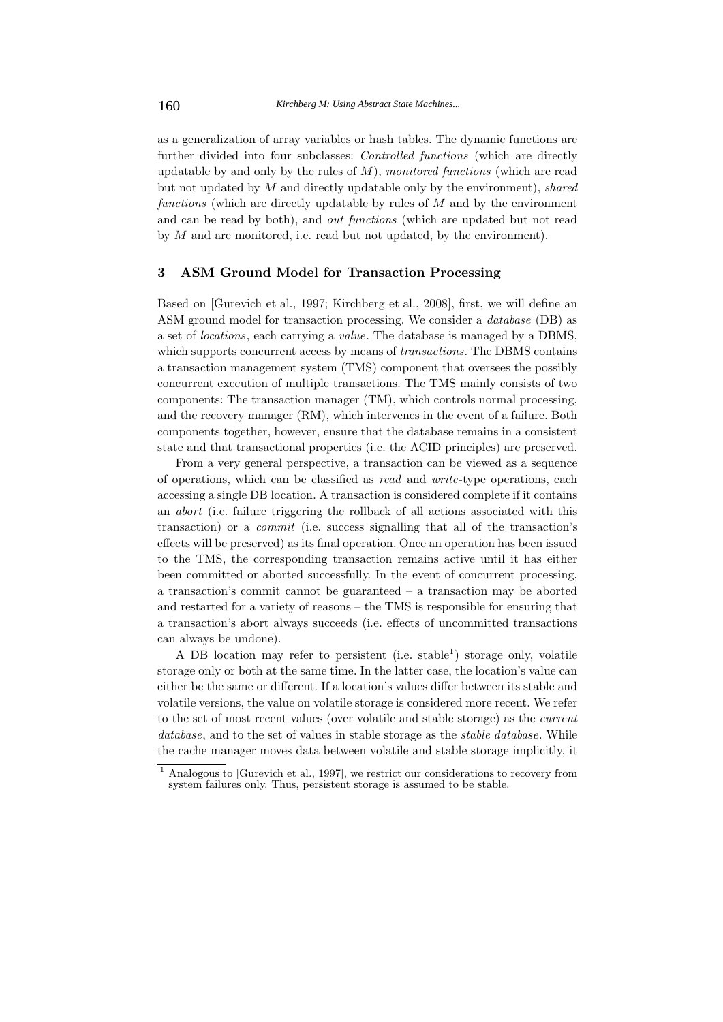as a generalization of array variables or hash tables. The dynamic functions are further divided into four subclasses: *Controlled functions* (which are directly updatable by and only by the rules of M), *monitored functions* (which are read but not updated by M and directly updatable only by the environment), *shared functions* (which are directly updatable by rules of M and by the environment and can be read by both), and *out functions* (which are updated but not read by  $M$  and are monitored, i.e. read but not updated, by the environment).

## **3 ASM Ground Model for Transaction Processing**

Based on [Gurevich et al., 1997; Kirchberg et al., 2008], first, we will define an ASM ground model for transaction processing. We consider a *database* (DB) as a set of *locations*, each carrying a *value*. The database is managed by a DBMS, which supports concurrent access by means of *transactions*. The DBMS contains a transaction management system (TMS) component that oversees the possibly concurrent execution of multiple transactions. The TMS mainly consists of two components: The transaction manager (TM), which controls normal processing, and the recovery manager (RM), which intervenes in the event of a failure. Both components together, however, ensure that the database remains in a consistent state and that transactional properties (i.e. the ACID principles) are preserved.

From a very general perspective, a transaction can be viewed as a sequence of operations, which can be classified as *read* and *write*-type operations, each accessing a single DB location. A transaction is considered complete if it contains an *abort* (i.e. failure triggering the rollback of all actions associated with this transaction) or a *commit* (i.e. success signalling that all of the transaction's effects will be preserved) as its final operation. Once an operation has been issued to the TMS, the corresponding transaction remains active until it has either been committed or aborted successfully. In the event of concurrent processing, a transaction's commit cannot be guaranteed – a transaction may be aborted and restarted for a variety of reasons – the TMS is responsible for ensuring that a transaction's abort always succeeds (i.e. effects of uncommitted transactions can always be undone).

A DB location may refer to persistent (i.e. stable<sup>1</sup>) storage only, volatile storage only or both at the same time. In the latter case, the location's value can either be the same or different. If a location's values differ between its stable and volatile versions, the value on volatile storage is considered more recent. We refer to the set of most recent values (over volatile and stable storage) as the *current database*, and to the set of values in stable storage as the *stable database*. While the cache manager moves data between volatile and stable storage implicitly, it

<sup>1</sup> Analogous to [Gurevich et al., 1997], we restrict our considerations to recovery from system failures only. Thus, persistent storage is assumed to be stable.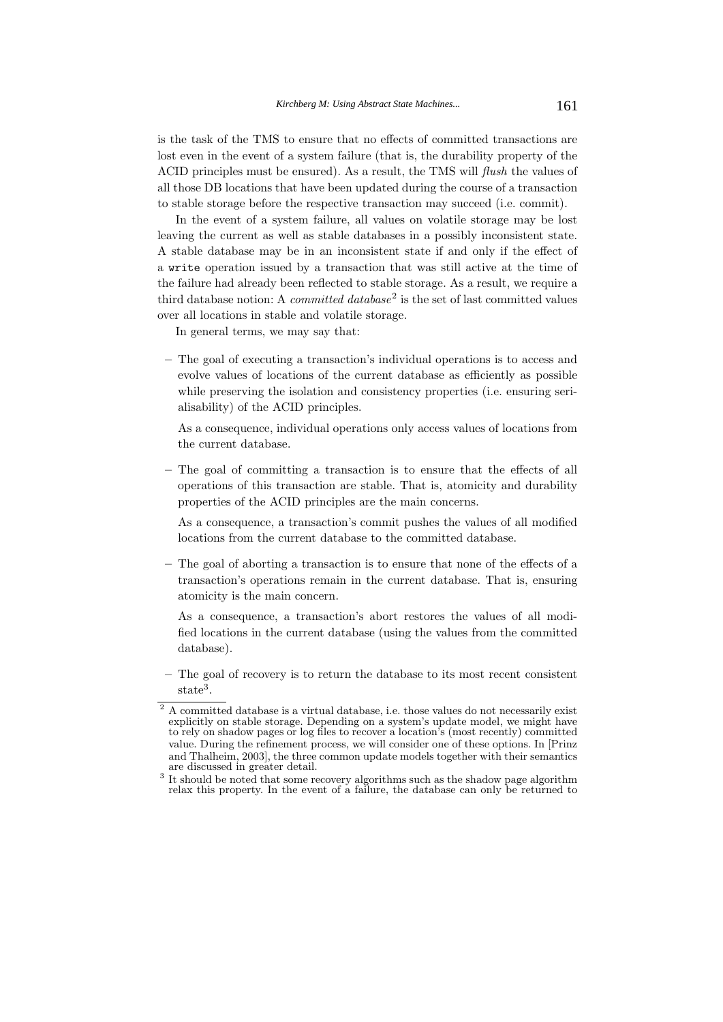is the task of the TMS to ensure that no effects of committed transactions are lost even in the event of a system failure (that is, the durability property of the ACID principles must be ensured). As a result, the TMS will *flush* the values of all those DB locations that have been updated during the course of a transaction to stable storage before the respective transaction may succeed (i.e. commit).

In the event of a system failure, all values on volatile storage may be lost leaving the current as well as stable databases in a possibly inconsistent state. A stable database may be in an inconsistent state if and only if the effect of a write operation issued by a transaction that was still active at the time of the failure had already been reflected to stable storage. As a result, we require a third database notion: A *committed database*<sup>2</sup> is the set of last committed values over all locations in stable and volatile storage.

In general terms, we may say that:

**–** The goal of executing a transaction's individual operations is to access and evolve values of locations of the current database as efficiently as possible while preserving the isolation and consistency properties (i.e. ensuring serialisability) of the ACID principles.

As a consequence, individual operations only access values of locations from the current database.

**–** The goal of committing a transaction is to ensure that the effects of all operations of this transaction are stable. That is, atomicity and durability properties of the ACID principles are the main concerns.

As a consequence, a transaction's commit pushes the values of all modified locations from the current database to the committed database.

**–** The goal of aborting a transaction is to ensure that none of the effects of a transaction's operations remain in the current database. That is, ensuring atomicity is the main concern.

As a consequence, a transaction's abort restores the values of all modified locations in the current database (using the values from the committed database).

**–** The goal of recovery is to return the database to its most recent consistent state<sup>3</sup>.

 $^2$  A committed database is a virtual database, i.e. those values do not necessarily exist explicitly on stable storage. Depending on a system's update model, we might have to rely on shadow pages or log files to recover a location's (most recently) committed value. During the refinement process, we will consider one of these options. In [Prinz and Thalheim, 2003], the three common update models together with their semantics

<sup>&</sup>lt;sup>3</sup> It should be noted that some recovery algorithms such as the shadow page algorithm relax this property. In the event of a failure, the database can only be returned to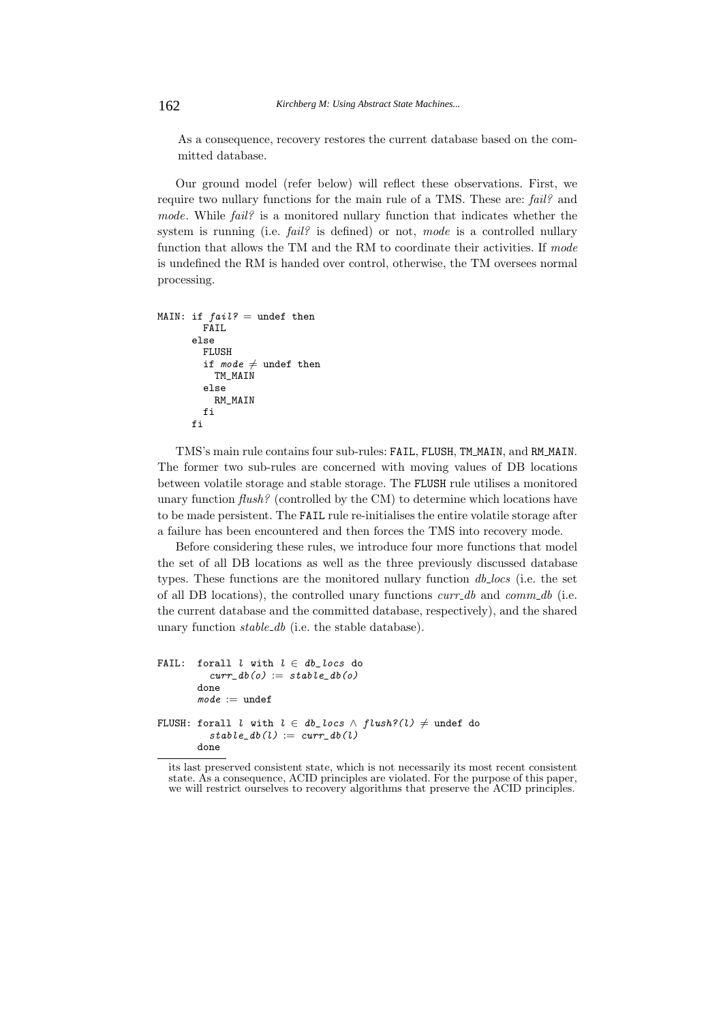As a consequence, recovery restores the current database based on the committed database.

Our ground model (refer below) will reflect these observations. First, we require two nullary functions for the main rule of a TMS. These are: *fail?* and *mode*. While *fail?* is a monitored nullary function that indicates whether the system is running (i.e. *fail?* is defined) or not, *mode* is a controlled nullary function that allows the TM and the RM to coordinate their activities. If *mode* is undefined the RM is handed over control, otherwise, the TM oversees normal processing.

```
MAIN: if fail? = undef then
        FATI.
      else
        FLUSH
         if mode \neq undef then
           TM_MAIN
         else
          RM_MAIN
        fi
      fi
```
TMS's main rule contains four sub-rules: FAIL, FLUSH, TM MAIN, and RM MAIN. The former two sub-rules are concerned with moving values of DB locations between volatile storage and stable storage. The FLUSH rule utilises a monitored unary function *flush?* (controlled by the CM) to determine which locations have to be made persistent. The FAIL rule re-initialises the entire volatile storage after a failure has been encountered and then forces the TMS into recovery mode.

Before considering these rules, we introduce four more functions that model the set of all DB locations as well as the three previously discussed database types. These functions are the monitored nullary function *db locs* (i.e. the set of all DB locations), the controlled unary functions *curr db* and *comm db* (i.e. the current database and the committed database, respectively), and the shared unary function *stable db* (i.e. the stable database).

```
FAIL: forall l with l \in db\_locs do
          curr\_db(o) := stable\_db(o)done
       mode := undef
FLUSH: forall l with l \in db\_locs \land fluxth? (l) \neq under do
          stable\_db(l) := curr\_db(l)done
```
its last preserved consistent state, which is not necessarily its most recent consistent state. As a consequence, ACID principles are violated. For the purpose of this paper, we will restrict ourselves to recovery algorithms that preserve the ACID principles.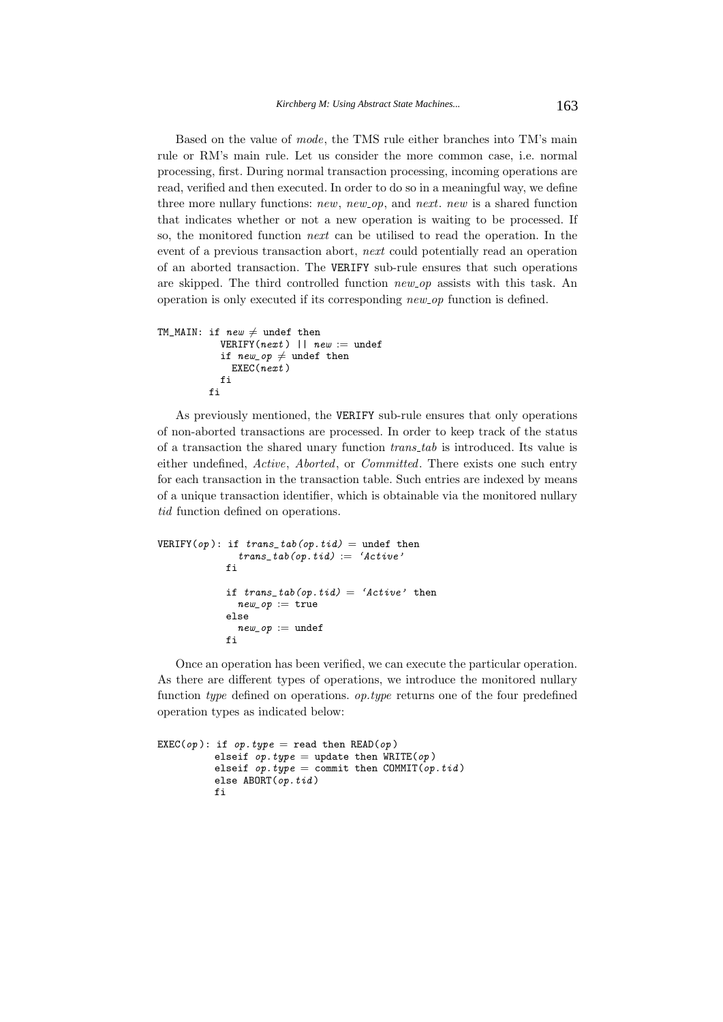Based on the value of *mode*, the TMS rule either branches into TM's main rule or RM's main rule. Let us consider the more common case, i.e. normal processing, first. During normal transaction processing, incoming operations are read, verified and then executed. In order to do so in a meaningful way, we define three more nullary functions: *new*, *new op*, and *next*. *new* is a shared function that indicates whether or not a new operation is waiting to be processed. If so, the monitored function *next* can be utilised to read the operation. In the event of a previous transaction abort, *next* could potentially read an operation of an aborted transaction. The VERIFY sub-rule ensures that such operations are skipped. The third controlled function *new op* assists with this task. An operation is only executed if its corresponding *new op* function is defined.

```
TM\_MAIN: if new \neq undef then
           VERIFY(next) || new := undef
            if new\_op \neq undef then
             EXEC(next)fi
         fi
```
As previously mentioned, the VERIFY sub-rule ensures that only operations of non-aborted transactions are processed. In order to keep track of the status of a transaction the shared unary function *trans tab* is introduced. Its value is either undefined, *Active*, *Aborted*, or *Committed*. There exists one such entry for each transaction in the transaction table. Such entries are indexed by means of a unique transaction identifier, which is obtainable via the monitored nullary *tid* function defined on operations.

```
VERIFY(op): if trans\_tab(op.tid) = under thentrans\_tab(op.tid) := 'Active'fi
            if trans\_tab(op.tid) = 'Active' thennew\_op := trueelse
              new\_op := undef
            fi
```
Once an operation has been verified, we can execute the particular operation. As there are different types of operations, we introduce the monitored nullary function *type* defined on operations. *op.type* returns one of the four predefined operation types as indicated below:

```
EXEC(op): if op.type = read then READ(op)
         elseif op.type = update then WRITE(op)elseif op.type = commit then COMMIT(op.tid)
         else ABORT(op.tid)fi
```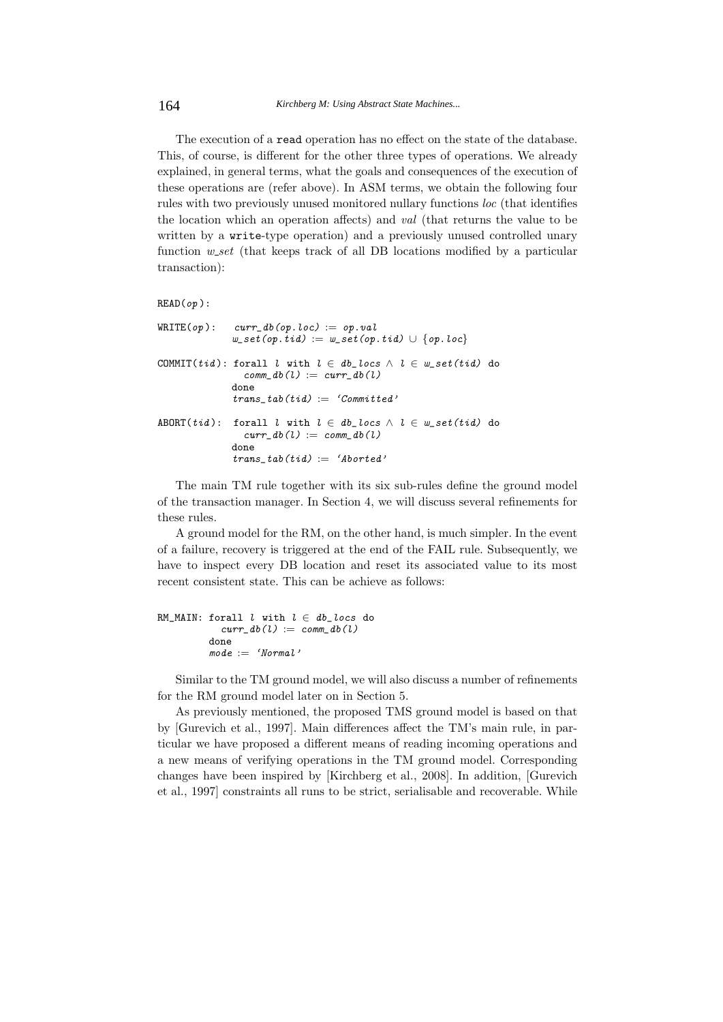The execution of a read operation has no effect on the state of the database. This, of course, is different for the other three types of operations. We already explained, in general terms, what the goals and consequences of the execution of these operations are (refer above). In ASM terms, we obtain the following four rules with two previously unused monitored nullary functions *loc* (that identifies the location which an operation affects) and *val* (that returns the value to be written by a write-type operation) and a previously unused controlled unary function *w set* (that keeps track of all DB locations modified by a particular transaction):

```
READ(op):
```

| $\texttt{WRITE}(op): \quad \textit{curr\_db}(op.\textit{loc}) := op.\textit{val}$<br>$w\_set(op.tid) := w\_set(op.tid) \cup \{op.loc\}$              |  |
|------------------------------------------------------------------------------------------------------------------------------------------------------|--|
| COMMIT(tid): forall l with $l \in db\_locs \,\wedge\, l \in w\_set(tid)$ do<br>comm $db(l) := curr db(l)$<br>done<br>trans $tab(tid) := 'Committed'$ |  |
| ABORT(tid): forall l with $l \in db\_locs \,\wedge\, l \in w\_set(tid)$ do<br>$curr\_db(l) := comm\_db(l)$<br>done<br>trans $tab(tid) := 'Aborted'$  |  |

The main TM rule together with its six sub-rules define the ground model of the transaction manager. In Section 4, we will discuss several refinements for these rules.

A ground model for the RM, on the other hand, is much simpler. In the event of a failure, recovery is triggered at the end of the FAIL rule. Subsequently, we have to inspect every DB location and reset its associated value to its most recent consistent state. This can be achieve as follows:

```
RM_MAIN: forall l with l \in db\_locs do
           curr\_db(l) := comm\_db(l)done
         mode := 'Normal'
```
Similar to the TM ground model, we will also discuss a number of refinements for the RM ground model later on in Section 5.

As previously mentioned, the proposed TMS ground model is based on that by [Gurevich et al., 1997]. Main differences affect the TM's main rule, in particular we have proposed a different means of reading incoming operations and a new means of verifying operations in the TM ground model. Corresponding changes have been inspired by [Kirchberg et al., 2008]. In addition, [Gurevich et al., 1997] constraints all runs to be strict, serialisable and recoverable. While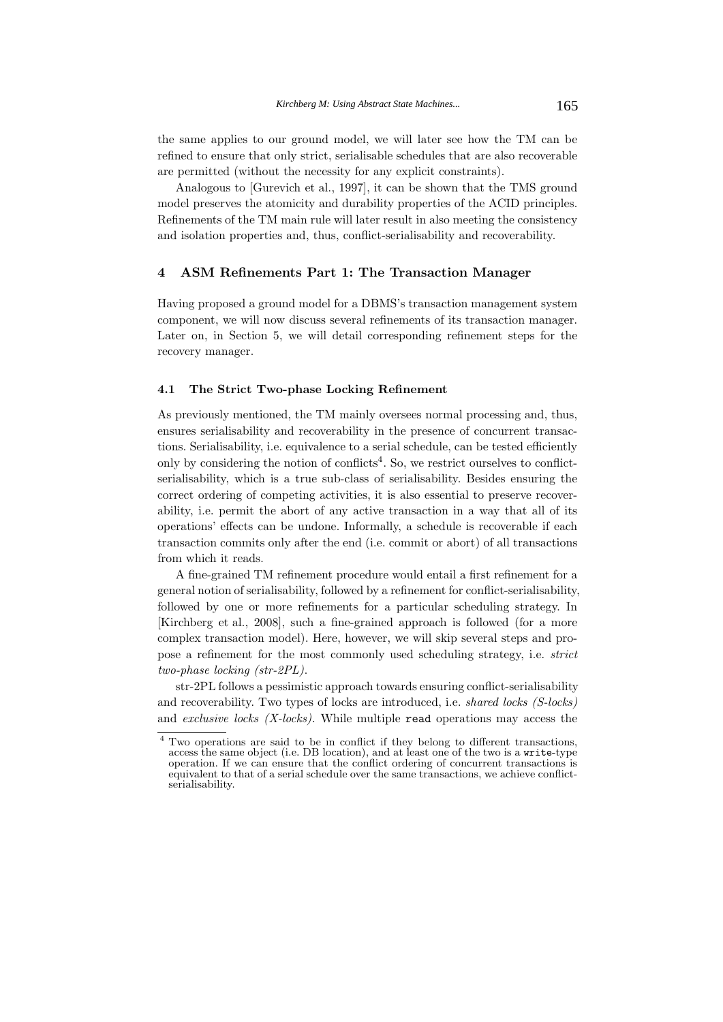the same applies to our ground model, we will later see how the TM can be refined to ensure that only strict, serialisable schedules that are also recoverable are permitted (without the necessity for any explicit constraints).

Analogous to [Gurevich et al., 1997], it can be shown that the TMS ground model preserves the atomicity and durability properties of the ACID principles. Refinements of the TM main rule will later result in also meeting the consistency and isolation properties and, thus, conflict-serialisability and recoverability.

## **4 ASM Refinements Part 1: The Transaction Manager**

Having proposed a ground model for a DBMS's transaction management system component, we will now discuss several refinements of its transaction manager. Later on, in Section 5, we will detail corresponding refinement steps for the recovery manager.

#### **4.1 The Strict Two-phase Locking Refinement**

As previously mentioned, the TM mainly oversees normal processing and, thus, ensures serialisability and recoverability in the presence of concurrent transactions. Serialisability, i.e. equivalence to a serial schedule, can be tested efficiently only by considering the notion of conflicts<sup>4</sup>. So, we restrict ourselves to conflictserialisability, which is a true sub-class of serialisability. Besides ensuring the correct ordering of competing activities, it is also essential to preserve recoverability, i.e. permit the abort of any active transaction in a way that all of its operations' effects can be undone. Informally, a schedule is recoverable if each transaction commits only after the end (i.e. commit or abort) of all transactions from which it reads.

A fine-grained TM refinement procedure would entail a first refinement for a general notion of serialisability, followed by a refinement for conflict-serialisability, followed by one or more refinements for a particular scheduling strategy. In [Kirchberg et al., 2008], such a fine-grained approach is followed (for a more complex transaction model). Here, however, we will skip several steps and propose a refinement for the most commonly used scheduling strategy, i.e. *strict two-phase locking (str-2PL)*.

str-2PL follows a pessimistic approach towards ensuring conflict-serialisability and recoverability. Two types of locks are introduced, i.e. *shared locks (S-locks)* and *exclusive locks (X-locks)*. While multiple read operations may access the

<sup>4</sup> Two operations are said to be in conflict if they belong to different transactions, access the same object (i.e. DB location), and at least one of the two is a write-type operation. If we can ensure that the conflict ordering of concurrent transactions is equivalent to that of a serial schedule over the same transactions, we achieve conflictserialisability.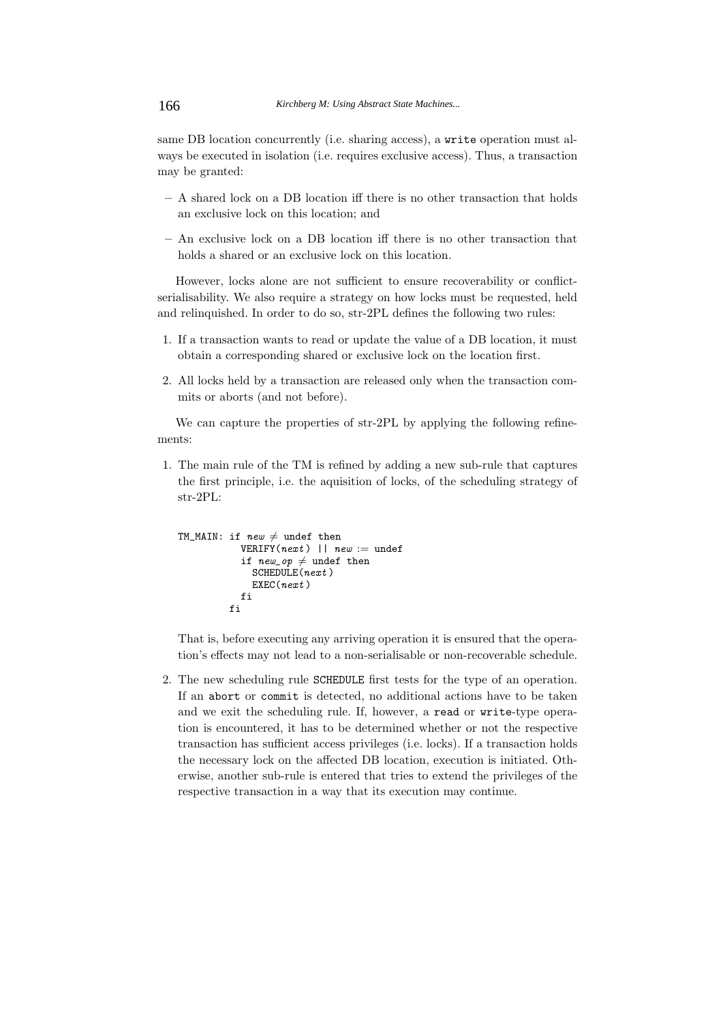same DB location concurrently (i.e. sharing access), a write operation must always be executed in isolation (i.e. requires exclusive access). Thus, a transaction may be granted:

- **–** A shared lock on a DB location iff there is no other transaction that holds an exclusive lock on this location; and
- **–** An exclusive lock on a DB location iff there is no other transaction that holds a shared or an exclusive lock on this location.

However, locks alone are not sufficient to ensure recoverability or conflictserialisability. We also require a strategy on how locks must be requested, held and relinquished. In order to do so, str-2PL defines the following two rules:

- 1. If a transaction wants to read or update the value of a DB location, it must obtain a corresponding shared or exclusive lock on the location first.
- 2. All locks held by a transaction are released only when the transaction commits or aborts (and not before).

We can capture the properties of str-2PL by applying the following refinements:

1. The main rule of the TM is refined by adding a new sub-rule that captures the first principle, i.e. the aquisition of locks, of the scheduling strategy of str-2PL:

```
TM_MAIN: if new \neq undef then
           VERIFY(next) || new := undef
            if new\_op \neq undef then
             SCHEDULE(next)
             EXEC(next)
           fi
         fi
```
That is, before executing any arriving operation it is ensured that the operation's effects may not lead to a non-serialisable or non-recoverable schedule.

2. The new scheduling rule SCHEDULE first tests for the type of an operation. If an abort or commit is detected, no additional actions have to be taken and we exit the scheduling rule. If, however, a read or write-type operation is encountered, it has to be determined whether or not the respective transaction has sufficient access privileges (i.e. locks). If a transaction holds the necessary lock on the affected DB location, execution is initiated. Otherwise, another sub-rule is entered that tries to extend the privileges of the respective transaction in a way that its execution may continue.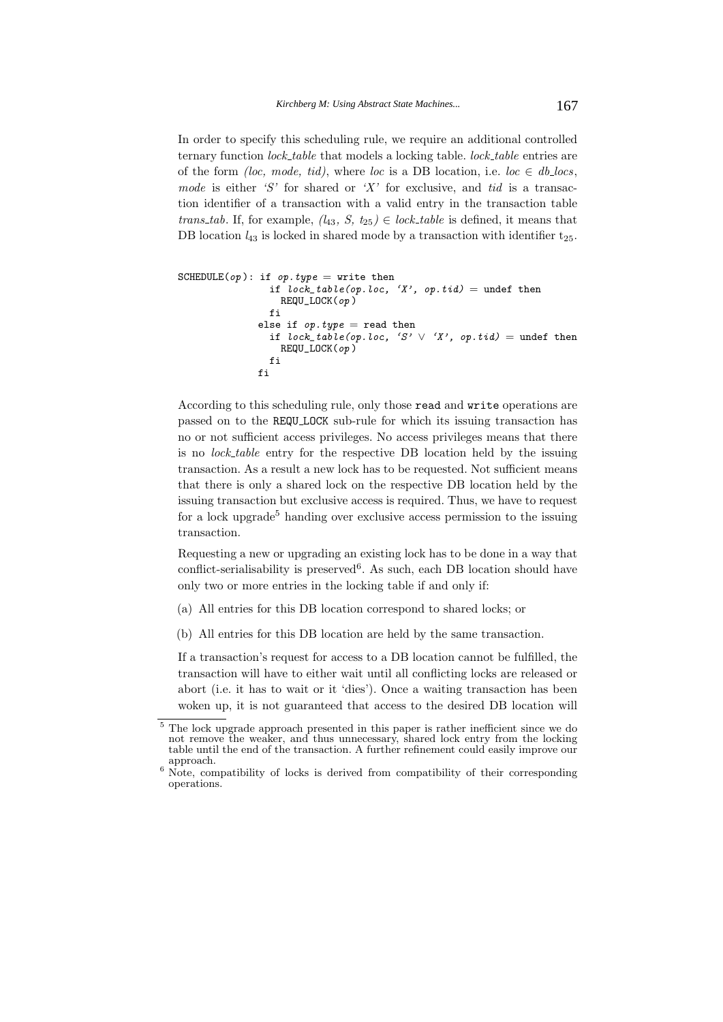In order to specify this scheduling rule, we require an additional controlled ternary function *lock table* that models a locking table. *lock table* entries are of the form *(loc, mode, tid)*, where *loc* is a DB location, i.e. *loc*  $\in$  *db locs*, *mode* is either *'S'* for shared or *'X'* for exclusive, and *tid* is a transaction identifier of a transaction with a valid entry in the transaction table *trans tab*. If, for example,  $(l_{43}, S, t_{25}) \in \text{lock\_table}$  is defined, it means that DB location  $l_{43}$  is locked in shared mode by a transaction with identifier  $t_{25}$ .

```
SCHEDULE(op): if op.type = write then
                if lock\_table(op.loc, 'X', op.tid) =undef then
                  REQU_LOCK(op )
                fi
              else if op.type = read then
                if lock\_table(op.loc, 'S' \vee 'X', op.tid) = under thenREQU_LOCK(op )
                fi
              fi
```
According to this scheduling rule, only those read and write operations are passed on to the REQU LOCK sub-rule for which its issuing transaction has no or not sufficient access privileges. No access privileges means that there is no *lock table* entry for the respective DB location held by the issuing transaction. As a result a new lock has to be requested. Not sufficient means that there is only a shared lock on the respective DB location held by the issuing transaction but exclusive access is required. Thus, we have to request for a lock upgrade<sup>5</sup> handing over exclusive access permission to the issuing transaction.

Requesting a new or upgrading an existing lock has to be done in a way that conflict-serialisability is preserved<sup>6</sup>. As such, each DB location should have only two or more entries in the locking table if and only if:

- (a) All entries for this DB location correspond to shared locks; or
- (b) All entries for this DB location are held by the same transaction.

If a transaction's request for access to a DB location cannot be fulfilled, the transaction will have to either wait until all conflicting locks are released or abort (i.e. it has to wait or it 'dies'). Once a waiting transaction has been woken up, it is not guaranteed that access to the desired DB location will

<sup>&</sup>lt;sup>5</sup> The lock upgrade approach presented in this paper is rather inefficient since we do not remove the weaker, and thus unnecessary, shared lock entry from the locking table until the end of the transaction. A further refinement could easily improve our

 $6$  Note, compatibility of locks is derived from compatibility of their corresponding operations.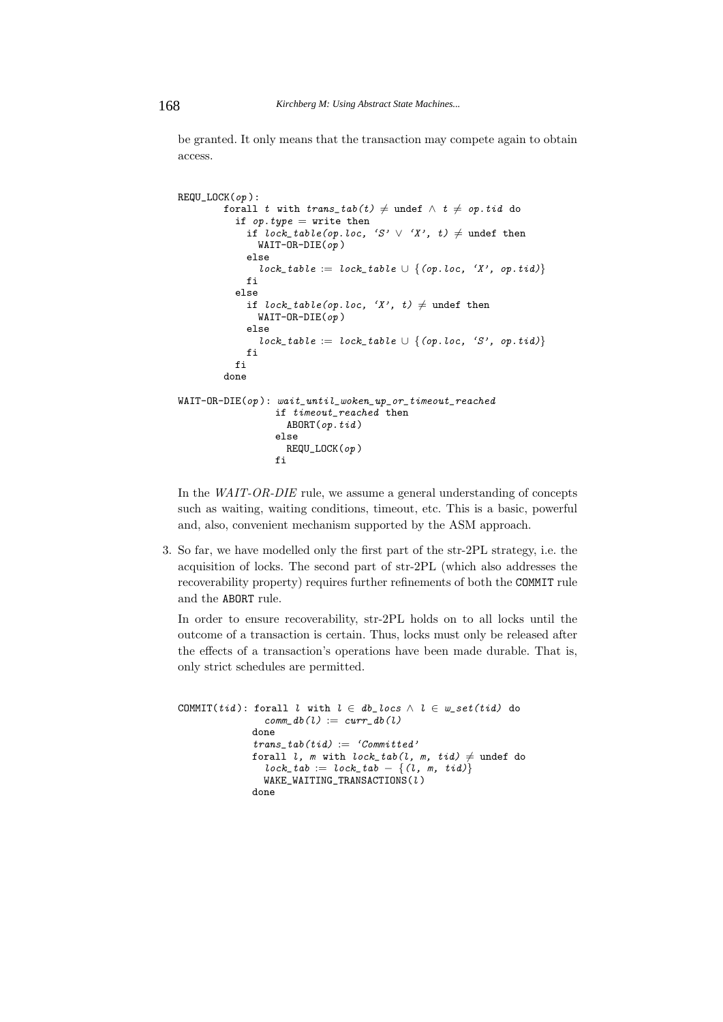be granted. It only means that the transaction may compete again to obtain access.

```
REQU_LOCK(op ):
         forall t with trans\_tab(t) \neq undef \wedge t \neq op.tid do
          if op.type = write then
             if lock\_table(op.loc, 'S' \vee 'X', t) \neq \text{under then}WAIT-OR-DIE(op)else
               lock_table := lock_table \cup {(op.loc, 'X', op.tid)}
             fi
          else
             if lock\_table(op.loc, 'X', t) \neq undef then
               WAIT-OR-DIE(op)else
               lock_table := lock_table \cup {(op.loc, 'S', op.tid)}
             fi
          fi
        done
WAIT-OR-DIE(op ): wait_until_woken_up_or_timeout_reached
                  if timeout_reached then
                    ABORT(op.tid)else
                    REQU_LOCK(op )
                  fi
```
In the *WAIT-OR-DIE* rule, we assume a general understanding of concepts such as waiting, waiting conditions, timeout, etc. This is a basic, powerful and, also, convenient mechanism supported by the ASM approach.

3. So far, we have modelled only the first part of the str-2PL strategy, i.e. the acquisition of locks. The second part of str-2PL (which also addresses the recoverability property) requires further refinements of both the COMMIT rule and the ABORT rule.

In order to ensure recoverability, str-2PL holds on to all locks until the outcome of a transaction is certain. Thus, locks must only be released after the effects of a transaction's operations have been made durable. That is, only strict schedules are permitted.

```
COMMIT(tid): forall l with l \in db\_locs \land l \in w\_set(tid) do
                  \textit{comm}\_\textit{db}(l) := \textit{curr}\_\textit{db}(l)done
                trans\_tab(tid) := 'Committed'forall l, m with lock\_tab(l, m, tid) \neq undef do
                  lock\_tab := lock\_tab - \{(l, m, tid)\}WAKE_WAITING_TRANSACTIONS(l)done
```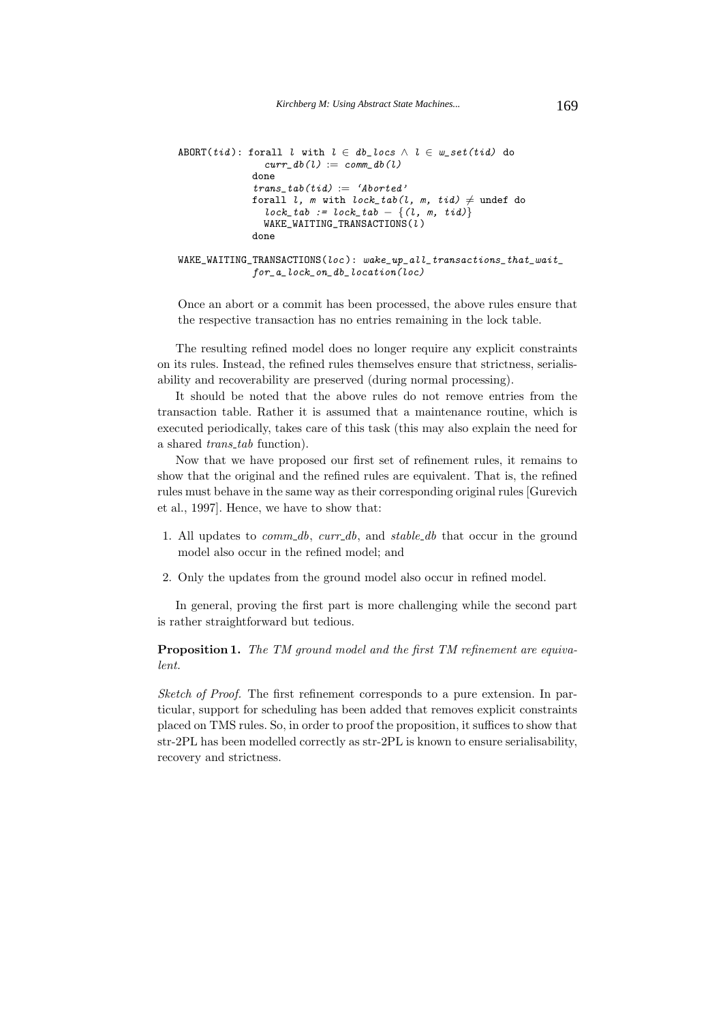```
ABORT(tid): forall l with l \in db\_locs \land l \in w\_set(tid) do
                curr\_db(l) := comm\_db(l)done
              trans\_tab(tid) := 'Aborted'forall l, m with lock\_tab(l, m, tid) \neq undef do
                lock\_tab := lock\_tab - \{(l, m, tid)\}WAKE_WAITING_TRANSACTIONS(l )
              done
WAKE\_WAITING\_TRANSACTIONS(loc): wake\_up\_all\_transactions\_that\_wait\_for_a_lock_on_db_location(loc)
```
Once an abort or a commit has been processed, the above rules ensure that the respective transaction has no entries remaining in the lock table.

The resulting refined model does no longer require any explicit constraints on its rules. Instead, the refined rules themselves ensure that strictness, serialisability and recoverability are preserved (during normal processing).

It should be noted that the above rules do not remove entries from the transaction table. Rather it is assumed that a maintenance routine, which is executed periodically, takes care of this task (this may also explain the need for a shared *trans tab* function).

Now that we have proposed our first set of refinement rules, it remains to show that the original and the refined rules are equivalent. That is, the refined rules must behave in the same way as their corresponding original rules [Gurevich et al., 1997]. Hence, we have to show that:

- 1. All updates to *comm db*, *curr db*, and *stable db* that occur in the ground model also occur in the refined model; and
- 2. Only the updates from the ground model also occur in refined model.

In general, proving the first part is more challenging while the second part is rather straightforward but tedious.

**Proposition 1.** *The TM ground model and the first TM refinement are equivalent.*

*Sketch of Proof.* The first refinement corresponds to a pure extension. In particular, support for scheduling has been added that removes explicit constraints placed on TMS rules. So, in order to proof the proposition, it suffices to show that str-2PL has been modelled correctly as str-2PL is known to ensure serialisability, recovery and strictness.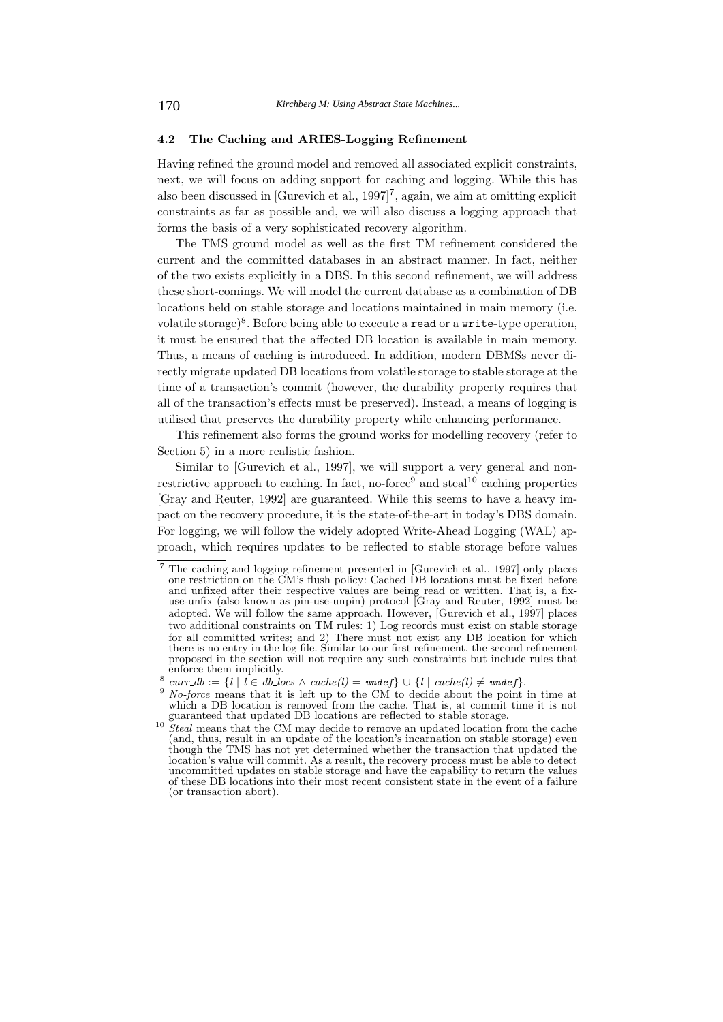## **4.2 The Caching and ARIES-Logging Refinement**

Having refined the ground model and removed all associated explicit constraints, next, we will focus on adding support for caching and logging. While this has also been discussed in [Gurevich et al., 1997]<sup>7</sup>, again, we aim at omitting explicit constraints as far as possible and, we will also discuss a logging approach that forms the basis of a very sophisticated recovery algorithm.

The TMS ground model as well as the first TM refinement considered the current and the committed databases in an abstract manner. In fact, neither of the two exists explicitly in a DBS. In this second refinement, we will address these short-comings. We will model the current database as a combination of DB locations held on stable storage and locations maintained in main memory (i.e. volatile storage)<sup>8</sup>. Before being able to execute a **read** or a write-type operation, it must be ensured that the affected DB location is available in main memory. Thus, a means of caching is introduced. In addition, modern DBMSs never directly migrate updated DB locations from volatile storage to stable storage at the time of a transaction's commit (however, the durability property requires that all of the transaction's effects must be preserved). Instead, a means of logging is utilised that preserves the durability property while enhancing performance.

This refinement also forms the ground works for modelling recovery (refer to Section 5) in a more realistic fashion.

Similar to [Gurevich et al., 1997], we will support a very general and nonrestrictive approach to caching. In fact, no-force<sup>9</sup> and steal<sup>10</sup> caching properties [Gray and Reuter, 1992] are guaranteed. While this seems to have a heavy impact on the recovery procedure, it is the state-of-the-art in today's DBS domain. For logging, we will follow the widely adopted Write-Ahead Logging (WAL) approach, which requires updates to be reflected to stable storage before values

<sup>&</sup>lt;sup>7</sup> The caching and logging refinement presented in [Gurevich et al., 1997] only places one restriction on the CM's flush policy: Cached DB locations must be fixed before and unfixed after their respective values are being read or written. That is, a fixuse-unfix (also known as pin-use-unpin) protocol [Gray and Reuter, 1992] must be adopted. We will follow the same approach. However, [Gurevich et al., 1997] places two additional constraints on TM rules: 1) Log records must exist on stable storage for all committed writes; and 2) There must not exist any DB location for which there is no entry in the log file. Similar to our first refinement, the second refinement proposed in the section will not require any such constraints but include rules that

 $curr\_db := \{l | l \in db\_locs \land cache(l) = under\} \cup \{l | cache(l) \neq under\}.$ 

<sup>&</sup>lt;sup>9</sup> *No-force* means that it is left up to the CM to decide about the point in time at which a DB location is removed from the cache. That is, at commit time it is not guaranteed that updated DB locations are reflected to stable storage.

<sup>&</sup>lt;sup>10</sup> *Steal* means that the CM may decide to remove an updated location from the cache (and, thus, result in an update of the location's incarnation on stable storage) even though the TMS has not yet determined whether the transaction that updated the location's value will commit. As a result, the recovery process must be able to detect uncommitted updates on stable storage and have the capability to return the values of these DB locations into their most recent consistent state in the event of a failure (or transaction abort).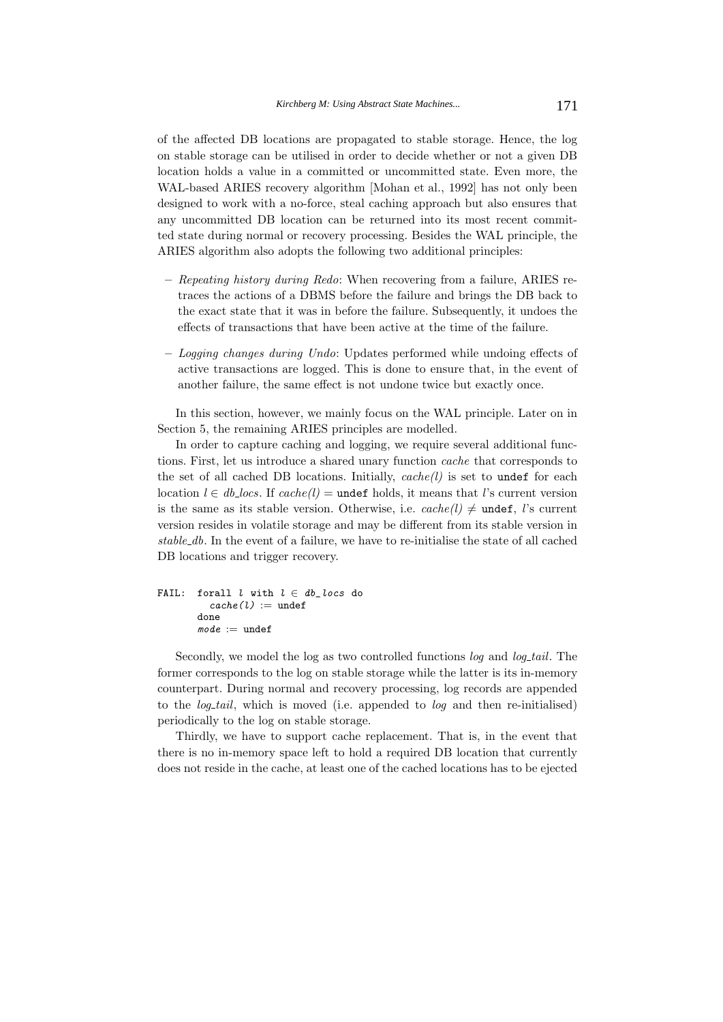of the affected DB locations are propagated to stable storage. Hence, the log on stable storage can be utilised in order to decide whether or not a given DB location holds a value in a committed or uncommitted state. Even more, the WAL-based ARIES recovery algorithm [Mohan et al., 1992] has not only been designed to work with a no-force, steal caching approach but also ensures that any uncommitted DB location can be returned into its most recent committed state during normal or recovery processing. Besides the WAL principle, the ARIES algorithm also adopts the following two additional principles:

- **–** *Repeating history during Redo*: When recovering from a failure, ARIES retraces the actions of a DBMS before the failure and brings the DB back to the exact state that it was in before the failure. Subsequently, it undoes the effects of transactions that have been active at the time of the failure.
- **–** *Logging changes during Undo*: Updates performed while undoing effects of active transactions are logged. This is done to ensure that, in the event of another failure, the same effect is not undone twice but exactly once.

In this section, however, we mainly focus on the WAL principle. Later on in Section 5, the remaining ARIES principles are modelled.

In order to capture caching and logging, we require several additional functions. First, let us introduce a shared unary function *cache* that corresponds to the set of all cached DB locations. Initially, *cache(l)* is set to undef for each location  $l \in db\_locs$ . If  $cache(l) =$  undef holds, it means that *l*'s current version is the same as its stable version. Otherwise, i.e.  $cache(l) \neq \text{undef}, l$ 's current version resides in volatile storage and may be different from its stable version in *stable db*. In the event of a failure, we have to re-initialise the state of all cached DB locations and trigger recovery.

```
FAIL: forall l with l \in db\_locs do
          cache(l) := undef
        done
        \textit{mode} := undef
```
Secondly, we model the log as two controlled functions *log* and *log tail*. The former corresponds to the log on stable storage while the latter is its in-memory counterpart. During normal and recovery processing, log records are appended to the *log tail*, which is moved (i.e. appended to *log* and then re-initialised) periodically to the log on stable storage.

Thirdly, we have to support cache replacement. That is, in the event that there is no in-memory space left to hold a required DB location that currently does not reside in the cache, at least one of the cached locations has to be ejected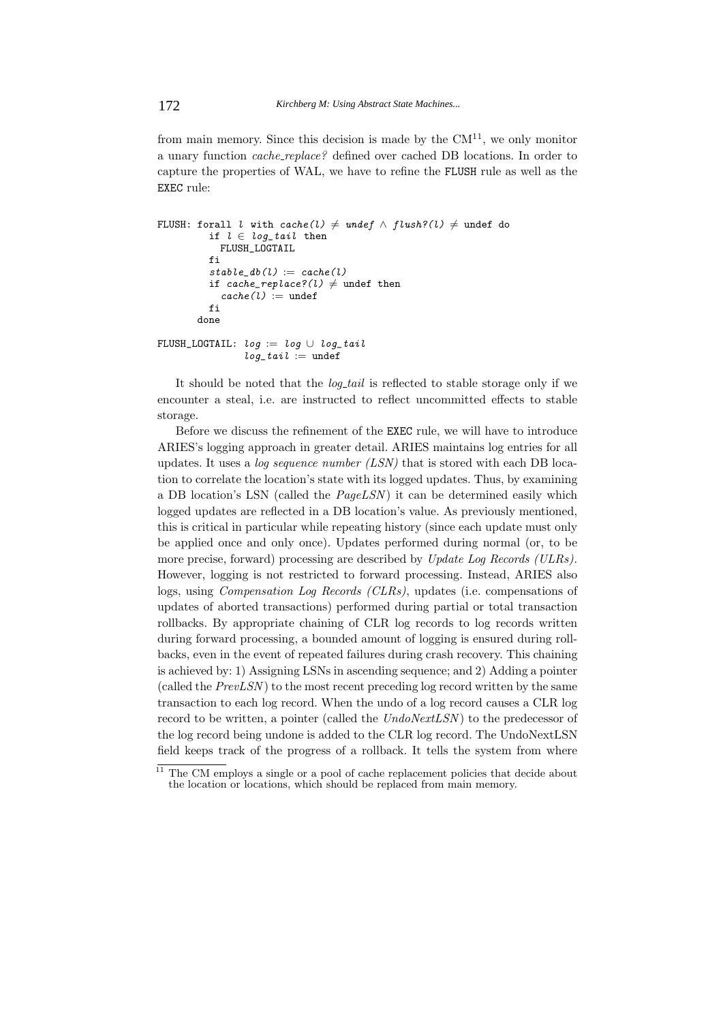from main memory. Since this decision is made by the  $CM<sup>11</sup>$ , we only monitor a unary function *cache replace?* defined over cached DB locations. In order to capture the properties of WAL, we have to refine the FLUSH rule as well as the EXEC rule:

```
FLUSH: forall l with \textit{cache}(l) \neq \textit{under} \land \textit{flush?}(l) \neq \textit{under} do
           if l \in log\_tail then
             FLUSH_LOGTAIL
           fi
           stable\_db(l) := cache(l)if cache_replace?(1) \neq undef then
             cache(l) := undef
           fi
        done
FLUSH_LOGTAIL: log := log \cup log\_taillog\_tail := undef
```
It should be noted that the *log tail* is reflected to stable storage only if we encounter a steal, i.e. are instructed to reflect uncommitted effects to stable storage.

Before we discuss the refinement of the EXEC rule, we will have to introduce ARIES's logging approach in greater detail. ARIES maintains log entries for all updates. It uses a *log sequence number (LSN)* that is stored with each DB location to correlate the location's state with its logged updates. Thus, by examining a DB location's LSN (called the *PageLSN* ) it can be determined easily which logged updates are reflected in a DB location's value. As previously mentioned, this is critical in particular while repeating history (since each update must only be applied once and only once). Updates performed during normal (or, to be more precise, forward) processing are described by *Update Log Records (ULRs)*. However, logging is not restricted to forward processing. Instead, ARIES also logs, using *Compensation Log Records (CLRs)*, updates (i.e. compensations of updates of aborted transactions) performed during partial or total transaction rollbacks. By appropriate chaining of CLR log records to log records written during forward processing, a bounded amount of logging is ensured during rollbacks, even in the event of repeated failures during crash recovery. This chaining is achieved by: 1) Assigning LSNs in ascending sequence; and 2) Adding a pointer (called the *PrevLSN* ) to the most recent preceding log record written by the same transaction to each log record. When the undo of a log record causes a CLR log record to be written, a pointer (called the *UndoNextLSN*) to the predecessor of the log record being undone is added to the CLR log record. The UndoNextLSN field keeps track of the progress of a rollback. It tells the system from where

 $11$  The CM employs a single or a pool of cache replacement policies that decide about the location or locations, which should be replaced from main memory.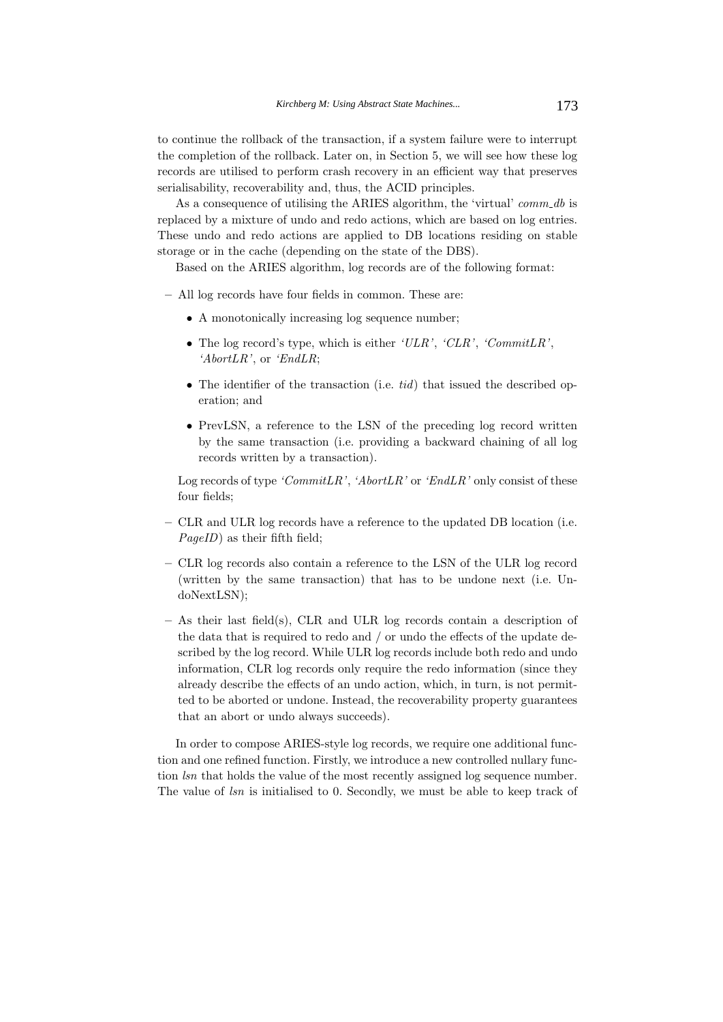to continue the rollback of the transaction, if a system failure were to interrupt the completion of the rollback. Later on, in Section 5, we will see how these log records are utilised to perform crash recovery in an efficient way that preserves serialisability, recoverability and, thus, the ACID principles.

As a consequence of utilising the ARIES algorithm, the 'virtual' *comm db* is replaced by a mixture of undo and redo actions, which are based on log entries. These undo and redo actions are applied to DB locations residing on stable storage or in the cache (depending on the state of the DBS).

Based on the ARIES algorithm, log records are of the following format:

**–** All log records have four fields in common. These are:

- A monotonically increasing log sequence number;
- The log record's type, which is either *'ULR'*, *'CLR'*, *'CommitLR'*, *'AbortLR'*, or *'EndLR*;
- The identifier of the transaction (i.e. *tid*) that issued the described operation; and
- PrevLSN, a reference to the LSN of the preceding log record written by the same transaction (i.e. providing a backward chaining of all log records written by a transaction).

Log records of type *'CommitLR'*, *'AbortLR'* or *'EndLR'* only consist of these four fields;

- **–** CLR and ULR log records have a reference to the updated DB location (i.e. *PageID*) as their fifth field;
- **–** CLR log records also contain a reference to the LSN of the ULR log record (written by the same transaction) that has to be undone next (i.e. UndoNextLSN);
- **–** As their last field(s), CLR and ULR log records contain a description of the data that is required to redo and / or undo the effects of the update described by the log record. While ULR log records include both redo and undo information, CLR log records only require the redo information (since they already describe the effects of an undo action, which, in turn, is not permitted to be aborted or undone. Instead, the recoverability property guarantees that an abort or undo always succeeds).

In order to compose ARIES-style log records, we require one additional function and one refined function. Firstly, we introduce a new controlled nullary function *lsn* that holds the value of the most recently assigned log sequence number. The value of  $\ell sn$  is initialised to 0. Secondly, we must be able to keep track of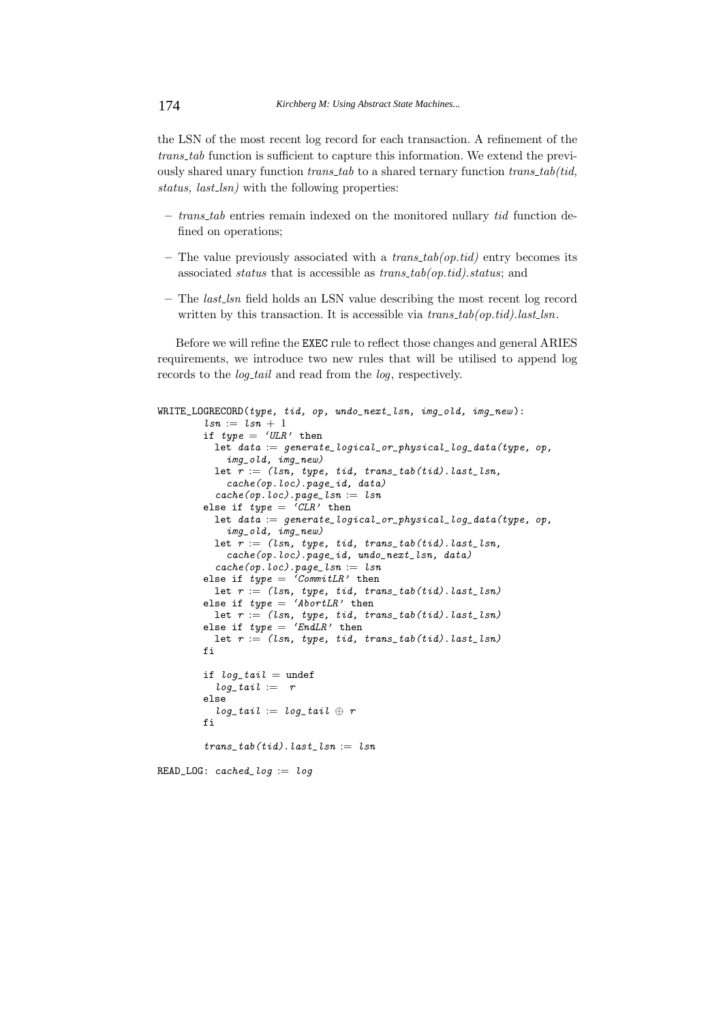the LSN of the most recent log record for each transaction. A refinement of the *trans tab* function is sufficient to capture this information. We extend the previously shared unary function *trans tab* to a shared ternary function *trans tab(tid, status, last lsn)* with the following properties:

- **–** *trans tab* entries remain indexed on the monitored nullary *tid* function defined on operations;
- **–** The value previously associated with a *trans tab(op.tid)* entry becomes its associated *status* that is accessible as *trans tab(op.tid).status*; and
- **–** The *last lsn* field holds an LSN value describing the most recent log record written by this transaction. It is accessible via  $trans\_tab(op.tid).last\_lsn$ .

Before we will refine the EXEC rule to reflect those changes and general ARIES requirements, we introduce two new rules that will be utilised to append log records to the *log tail* and read from the *log*, respectively.

```
WRITE_LOGRECORD(type, tid, op, undo_next_lsn, img_old, img_new ):
        lsn := lsn + 1if type = 'ULR' then
          let data := generate_logical_or_physical_log_data(type, op,
            img_old, img_new)
          let r := (lsn, type, tid, trans\_tab(tid).last\_lsn,cache(op.loc).page_id, data)
          cache(op.\,loc).page\_lsn := \,lsnelse if type = 'CLR' then
          let data := generate\_logical\_or\_physical\_log\_data(type, op,img_old, img_new)
          let r := (lsn, type, tid, trans_table(tid).last_lsn,cache(op.loc).page_id, undo_next_lsn, data)
          cache(op.\,loc).page\_lsn := \,lsnelse if type = 'CommitLR' then
          let r := (lsn, type, tid, trans\_tab(tid).last\_lsn)else if type = 'AbortLR' then
          let r := (lsn, type, tid, trans_table(tid).last_lsn)else if type = 'EndLR' then
          let r := (lsn, type, tid, trans_table(tid).last_lsn)fi
        if log tail = undef
          log\_tail := relse
          log\_tail := log\_tail \oplus rfi
        trans\_tab(tid).last\_lsn := lsnREAD\_LOG: cached\_log := log
```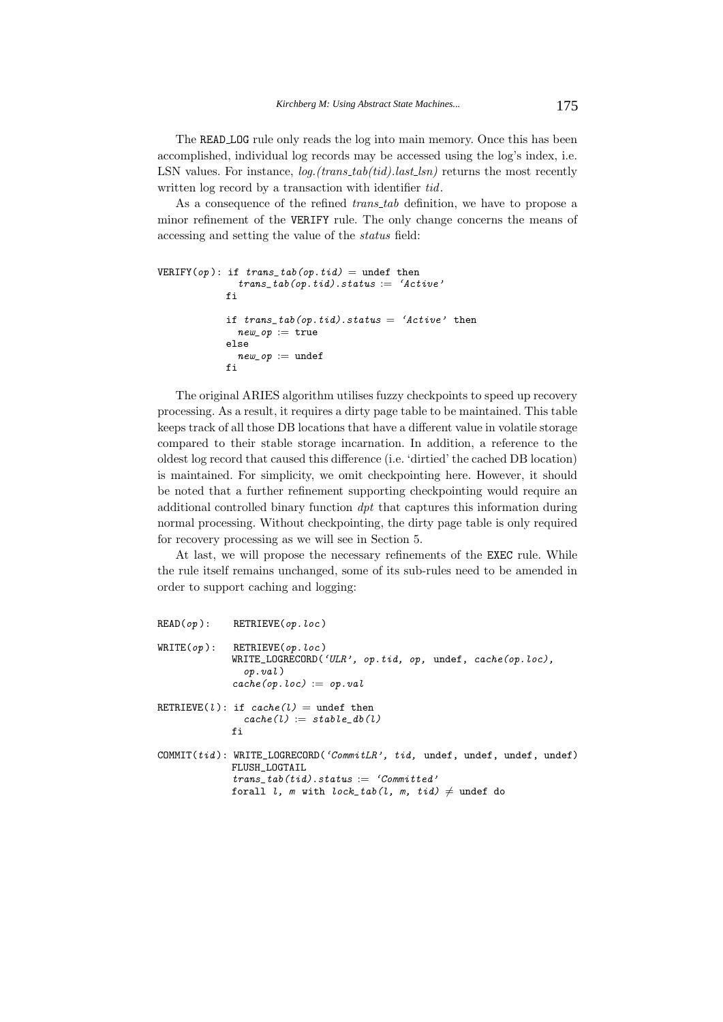The READ LOG rule only reads the log into main memory. Once this has been accomplished, individual log records may be accessed using the log's index, i.e. LSN values. For instance, *log.*(*trans\_tab*(*tid*).*last\_lsn*) returns the most recently written log record by a transaction with identifier *tid*.

As a consequence of the refined *trans tab* definition, we have to propose a minor refinement of the VERIFY rule. The only change concerns the means of accessing and setting the value of the *status* field:

```
VERIFY(op): if trans\_tab(op.tid) = under thentrans\_tab(op.tid).status := 'Active'fi
            if trans\_tab(op.tid).status = 'Active' thennew\_op := trueelse
              new\_op := undef
            fi
```
The original ARIES algorithm utilises fuzzy checkpoints to speed up recovery processing. As a result, it requires a dirty page table to be maintained. This table keeps track of all those DB locations that have a different value in volatile storage compared to their stable storage incarnation. In addition, a reference to the oldest log record that caused this difference (i.e. 'dirtied' the cached DB location) is maintained. For simplicity, we omit checkpointing here. However, it should be noted that a further refinement supporting checkpointing would require an additional controlled binary function *dpt* that captures this information during normal processing. Without checkpointing, the dirty page table is only required for recovery processing as we will see in Section 5.

At last, we will propose the necessary refinements of the EXEC rule. While the rule itself remains unchanged, some of its sub-rules need to be amended in order to support caching and logging:

|            | $READ(op):$ RETRIEVE(op.loc)                                                                                                                                                                     |
|------------|--------------------------------------------------------------------------------------------------------------------------------------------------------------------------------------------------|
| WRITE(op): | RETRIEVE(op.loc)<br>WRITE_LOGRECORD('ULR', op.tid, op, undef, cache(op.loc),<br>op.val<br>$cache(op.\,loc) := op.\,val$                                                                          |
|            | RETRIEVE(l): if $cache(l) =$ undef then<br>$cache(l) := stable db(l)$<br>fi                                                                                                                      |
|            | COMMIT( $tid$ ): WRITE_LOGRECORD('CommitLR', tid, undef, undef, undef, undef)<br>FLUSH LOGTAIL<br>trans $tab(tid).status := 'Committed'$<br>forall l, m with lock_tab(l, m, tid) $\neq$ undef do |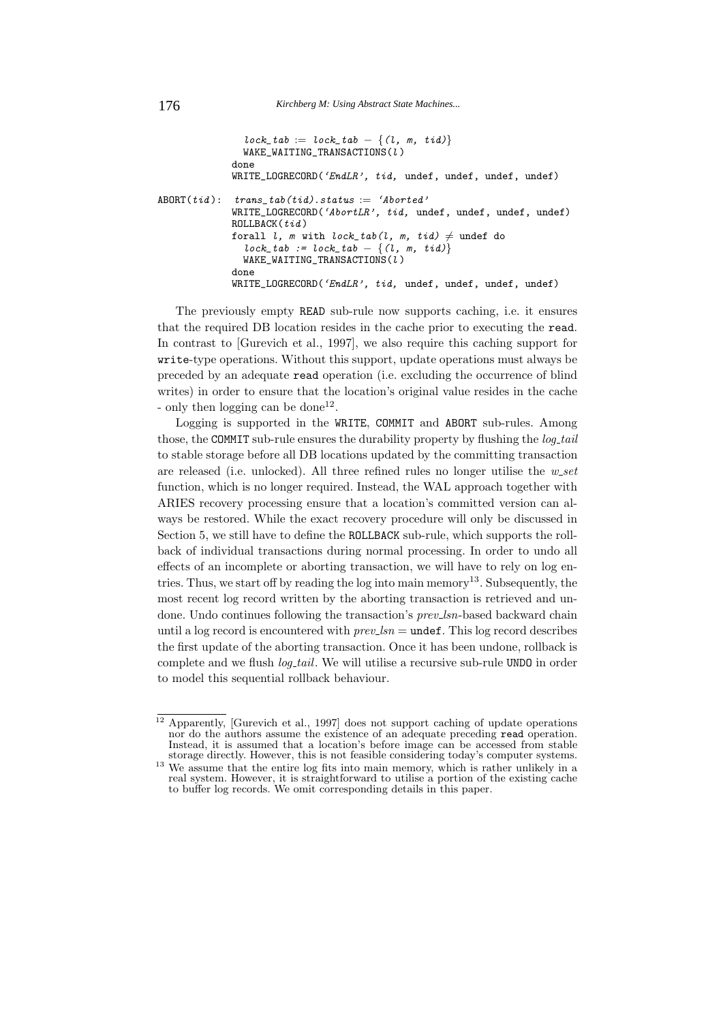```
lock\_tab := lock\_tab - \{(l, m, tid)\}WAKE_WAITING_TRANSACTIONS(l )
             done
             WRITE_LOGRECORD('EndLR', tid, undef, undef, undef, undef)
ABORT(tid): trans\_tab(tid).status := 'Aborted'WRITE_LOGRECORD('AbortLR', tid, undef, undef, undef, undef)
             ROLLBACK(tid)forall l, m with lock\_tab(l, m, tid) \neq undef do
               lock\_tab := lock\_tab - \{(l, m, tid)\}WAKE_WAITING_TRANSACTIONS(i)done
             WRITE_LOGRECORD('EndLR', tid, undef, undef, undef, undef)
```
The previously empty READ sub-rule now supports caching, i.e. it ensures that the required DB location resides in the cache prior to executing the read. In contrast to [Gurevich et al., 1997], we also require this caching support for write-type operations. Without this support, update operations must always be preceded by an adequate read operation (i.e. excluding the occurrence of blind writes) in order to ensure that the location's original value resides in the cache - only then logging can be done<sup>12</sup>.

Logging is supported in the WRITE, COMMIT and ABORT sub-rules. Among those, the COMMIT sub-rule ensures the durability property by flushing the *log tail* to stable storage before all DB locations updated by the committing transaction are released (i.e. unlocked). All three refined rules no longer utilise the *w set* function, which is no longer required. Instead, the WAL approach together with ARIES recovery processing ensure that a location's committed version can always be restored. While the exact recovery procedure will only be discussed in Section 5, we still have to define the ROLLBACK sub-rule, which supports the rollback of individual transactions during normal processing. In order to undo all effects of an incomplete or aborting transaction, we will have to rely on log entries. Thus, we start off by reading the log into main memory<sup>13</sup>. Subsequently, the most recent log record written by the aborting transaction is retrieved and undone. Undo continues following the transaction's *prev lsn*-based backward chain until a log record is encountered with  $prev\_lsn =$  undef. This log record describes the first update of the aborting transaction. Once it has been undone, rollback is complete and we flush *log tail*. We will utilise a recursive sub-rule UNDO in order to model this sequential rollback behaviour.

<sup>&</sup>lt;sup>12</sup> Apparently, [Gurevich et al., 1997] does not support caching of update operations nor do the authors assume the existence of an adequate preceding read operation. Instead, it is assumed that a location's before image can be accessed from stable storage directly. However, this is not feasible considering today's computer systems.

storage directly. However, this is not feature computer systems. It is rather unlikely in a<br><sup>13</sup> We assume that the entire log fits into main memory, which is rather unlikely in a real system. However, it is straightforward to utilise a portion of the existing cache to buffer log records. We omit corresponding details in this paper.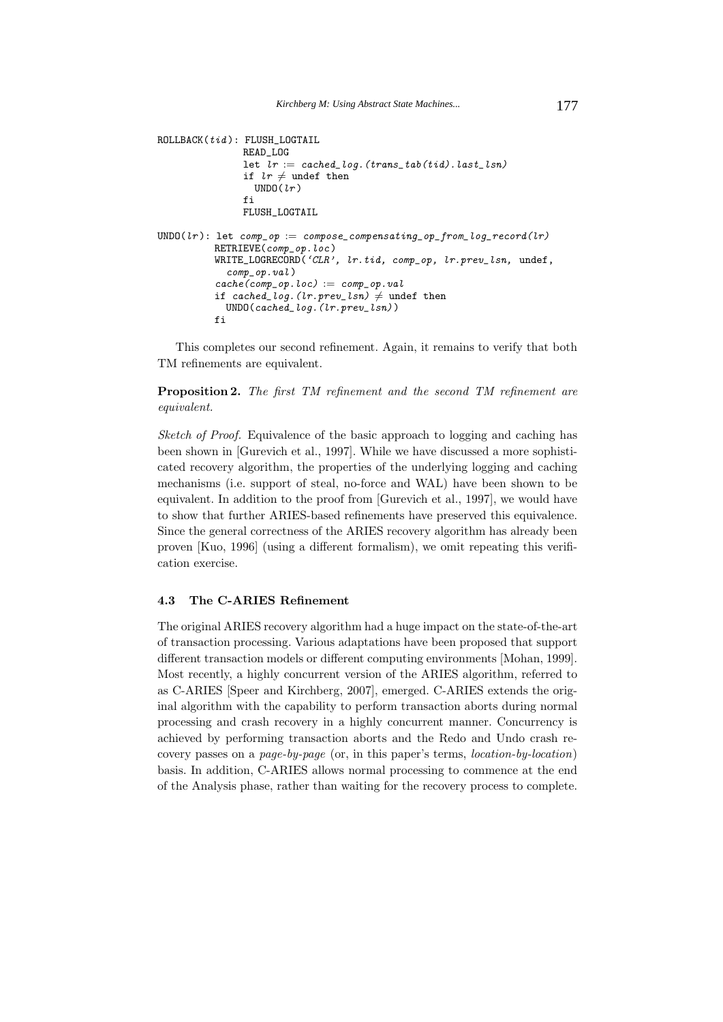```
ROLLBACK(tid): FLUSH_LOGTAIL
                READ_LOG
                let lr := cached\_log. (trans\_tab(tid).last\_lsn)if lr \neq undef then
                  UNDO(lr)fi
                FLUSH_LOGTAIL
\texttt{UNDO}(\textit{lr}): let comp_op := compose_compensating_op_from_log_record(lr)
          RETRIEVE(comp_op.loc )
          WRITE_LOGRECORD('CLR', lr.tid, comp_op, lr.prev_lsn, undef,
             comp_op.val )
           cache(comp_op, loc) := comp_op, valif cached_log.(lr.prev\_lsn) \neq undef then
             UNDO(cached_log.(lr.prev_lsn))
          fi
```
This completes our second refinement. Again, it remains to verify that both TM refinements are equivalent.

**Proposition 2.** *The first TM refinement and the second TM refinement are equivalent.*

*Sketch of Proof.* Equivalence of the basic approach to logging and caching has been shown in [Gurevich et al., 1997]. While we have discussed a more sophisticated recovery algorithm, the properties of the underlying logging and caching mechanisms (i.e. support of steal, no-force and WAL) have been shown to be equivalent. In addition to the proof from [Gurevich et al., 1997], we would have to show that further ARIES-based refinements have preserved this equivalence. Since the general correctness of the ARIES recovery algorithm has already been proven [Kuo, 1996] (using a different formalism), we omit repeating this verification exercise.

## **4.3 The C-ARIES Refinement**

The original ARIES recovery algorithm had a huge impact on the state-of-the-art of transaction processing. Various adaptations have been proposed that support different transaction models or different computing environments [Mohan, 1999]. Most recently, a highly concurrent version of the ARIES algorithm, referred to as C-ARIES [Speer and Kirchberg, 2007], emerged. C-ARIES extends the original algorithm with the capability to perform transaction aborts during normal processing and crash recovery in a highly concurrent manner. Concurrency is achieved by performing transaction aborts and the Redo and Undo crash recovery passes on a *page-by-page* (or, in this paper's terms, *location-by-location*) basis. In addition, C-ARIES allows normal processing to commence at the end of the Analysis phase, rather than waiting for the recovery process to complete.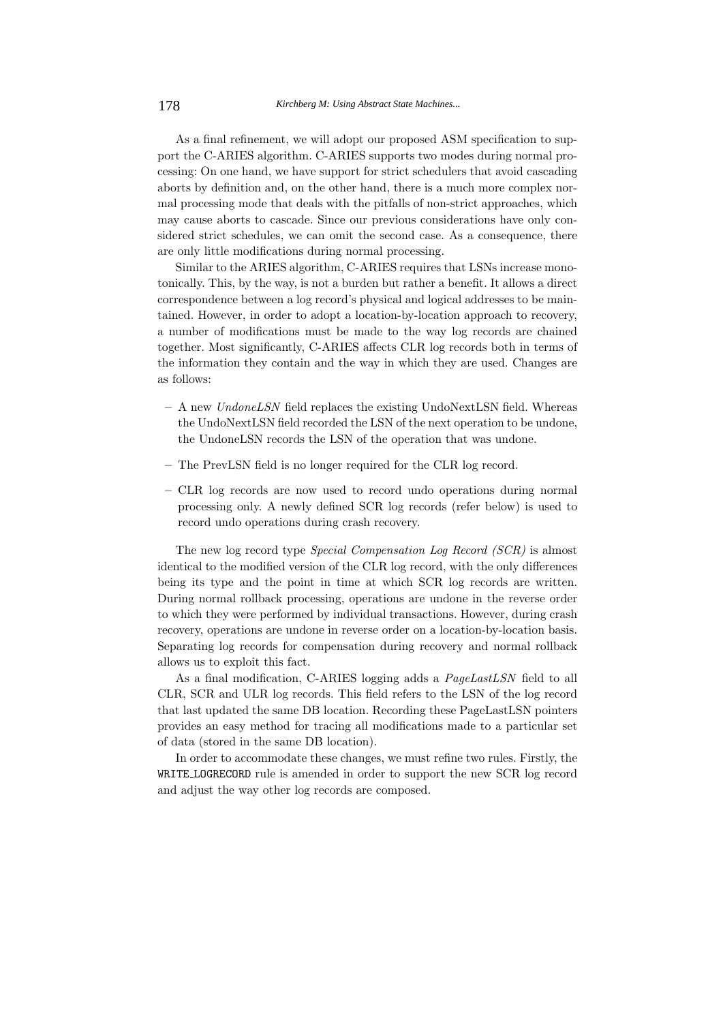As a final refinement, we will adopt our proposed ASM specification to support the C-ARIES algorithm. C-ARIES supports two modes during normal processing: On one hand, we have support for strict schedulers that avoid cascading aborts by definition and, on the other hand, there is a much more complex normal processing mode that deals with the pitfalls of non-strict approaches, which may cause aborts to cascade. Since our previous considerations have only considered strict schedules, we can omit the second case. As a consequence, there are only little modifications during normal processing.

Similar to the ARIES algorithm, C-ARIES requires that LSNs increase monotonically. This, by the way, is not a burden but rather a benefit. It allows a direct correspondence between a log record's physical and logical addresses to be maintained. However, in order to adopt a location-by-location approach to recovery, a number of modifications must be made to the way log records are chained together. Most significantly, C-ARIES affects CLR log records both in terms of the information they contain and the way in which they are used. Changes are as follows:

- **–** A new *UndoneLSN* field replaces the existing UndoNextLSN field. Whereas the UndoNextLSN field recorded the LSN of the next operation to be undone, the UndoneLSN records the LSN of the operation that was undone.
- **–** The PrevLSN field is no longer required for the CLR log record.
- **–** CLR log records are now used to record undo operations during normal processing only. A newly defined SCR log records (refer below) is used to record undo operations during crash recovery.

The new log record type *Special Compensation Log Record (SCR)* is almost identical to the modified version of the CLR log record, with the only differences being its type and the point in time at which SCR log records are written. During normal rollback processing, operations are undone in the reverse order to which they were performed by individual transactions. However, during crash recovery, operations are undone in reverse order on a location-by-location basis. Separating log records for compensation during recovery and normal rollback allows us to exploit this fact.

As a final modification, C-ARIES logging adds a *PageLastLSN* field to all CLR, SCR and ULR log records. This field refers to the LSN of the log record that last updated the same DB location. Recording these PageLastLSN pointers provides an easy method for tracing all modifications made to a particular set of data (stored in the same DB location).

In order to accommodate these changes, we must refine two rules. Firstly, the WRITE LOGRECORD rule is amended in order to support the new SCR log record and adjust the way other log records are composed.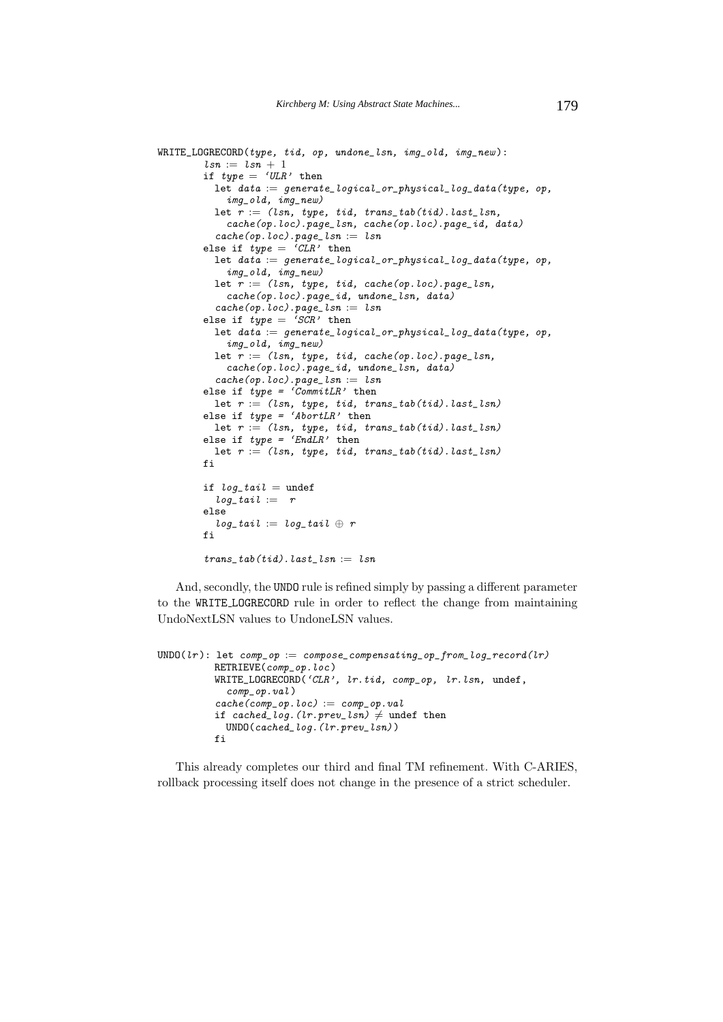```
WRITE_LOGRECORD(type, tid, op, undone_lsn, img_old, img_new ):
        lsn := lsn + 1if type = 'ULR' then
          let data := generate\_logical\_or\_physical\_log\_data(type, op,img_old, img_new)
          let r := (lsn, type, tid, trans\_tab(tid).last\_lsn,cache(op.loc).page_lsn, cache(op.loc).page_id, data)
          cache(op.loc).page\_lsn := lsnelse if type = 'CLR' then
          let data := generate\_logical\_or\_physical\_log\_data(type, op,img_old, img_new)
          let r := (lsn, type, tid, cache(op.loc).page\_lsn,cache(op.loc).page_id, undone_lsn, data)
          cache(op.\,loc).page\_lsn := \,lsnelse if type = 'SCR' then
          let data := generate\_logical\_or\_physical\_log\_data(type, op,img_old, img_new)
          let r := (lsn, type, tid, cache(op.loc).page\_lsn,cache(op.loc).page_id, undone_lsn, data)
          cache(op.\,loc).page\_lsn := \,lsnelse if type = 'CommitLR' then
          let r := (lsn, type, tid, trans\_tab(tid).last\_lsn)else if type = 'AbortLR' then
          let r := (lsn, type, tid, trans\_tab(tid).last\_lsn)else if type = 'EndLR' then
          let r := (lsn, type, tid, trans_table(tid).last_lsn)fi
        if log tail = undef
          log\_tail := relse
          log\_tail := log\_tail \oplus rfi
        trans tab(tid). last lsn := lsn
```
And, secondly, the UNDO rule is refined simply by passing a different parameter to the WRITE LOGRECORD rule in order to reflect the change from maintaining UndoNextLSN values to UndoneLSN values.

```
\texttt{UNDO}(lr): let \texttt{comp\_op} := \texttt{composite\_compensating\_op\_from\_log\_record}(lr)RETRIEVE(comp_op.loc )
           WRITE_LOGRECORD('CLR', lr.tid, comp_op, lr.lsn, undef,
             comp_op.val )
           cache(comp\_op.loc) := comp\_op.valif cached_log.(lr.prev\_lsn) \neq undef then
             UNDO(cached_log.(lr.prev_lsn))
           fi
```
This already completes our third and final TM refinement. With C-ARIES, rollback processing itself does not change in the presence of a strict scheduler.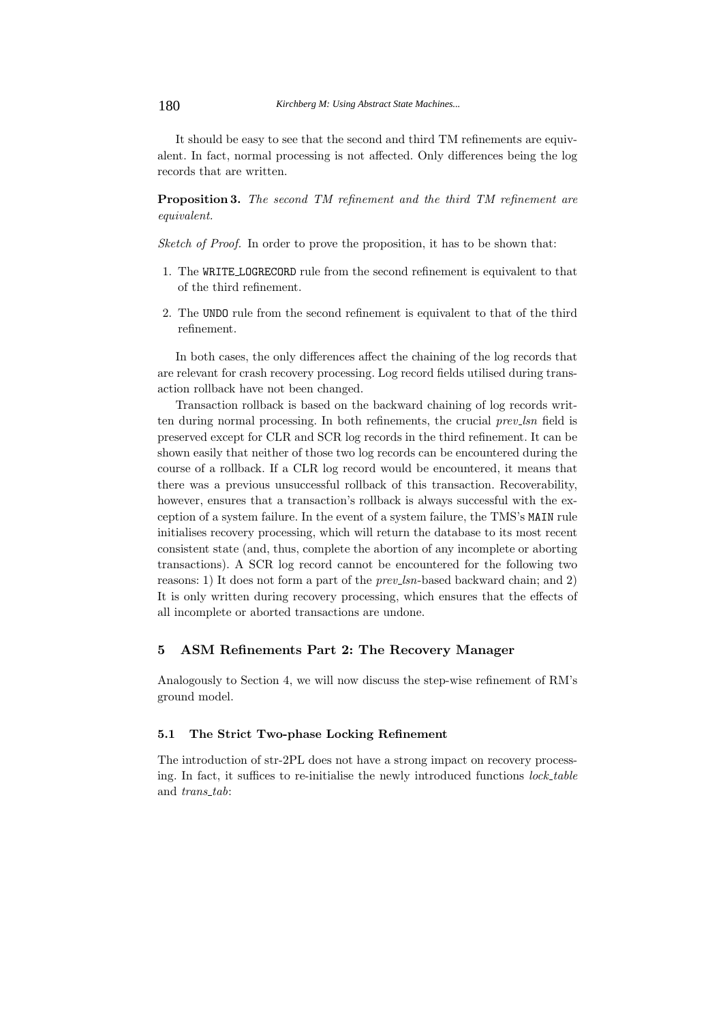It should be easy to see that the second and third TM refinements are equivalent. In fact, normal processing is not affected. Only differences being the log records that are written.

**Proposition 3.** *The second TM refinement and the third TM refinement are equivalent.*

*Sketch of Proof.* In order to prove the proposition, it has to be shown that:

- 1. The WRITE LOGRECORD rule from the second refinement is equivalent to that of the third refinement.
- 2. The UNDO rule from the second refinement is equivalent to that of the third refinement.

In both cases, the only differences affect the chaining of the log records that are relevant for crash recovery processing. Log record fields utilised during transaction rollback have not been changed.

Transaction rollback is based on the backward chaining of log records written during normal processing. In both refinements, the crucial *prev lsn* field is preserved except for CLR and SCR log records in the third refinement. It can be shown easily that neither of those two log records can be encountered during the course of a rollback. If a CLR log record would be encountered, it means that there was a previous unsuccessful rollback of this transaction. Recoverability, however, ensures that a transaction's rollback is always successful with the exception of a system failure. In the event of a system failure, the TMS's MAIN rule initialises recovery processing, which will return the database to its most recent consistent state (and, thus, complete the abortion of any incomplete or aborting transactions). A SCR log record cannot be encountered for the following two reasons: 1) It does not form a part of the *prev lsn*-based backward chain; and 2) It is only written during recovery processing, which ensures that the effects of all incomplete or aborted transactions are undone.

### **5 ASM Refinements Part 2: The Recovery Manager**

Analogously to Section 4, we will now discuss the step-wise refinement of RM's ground model.

#### **5.1 The Strict Two-phase Locking Refinement**

The introduction of str-2PL does not have a strong impact on recovery processing. In fact, it suffices to re-initialise the newly introduced functions *lock table* and *trans tab*: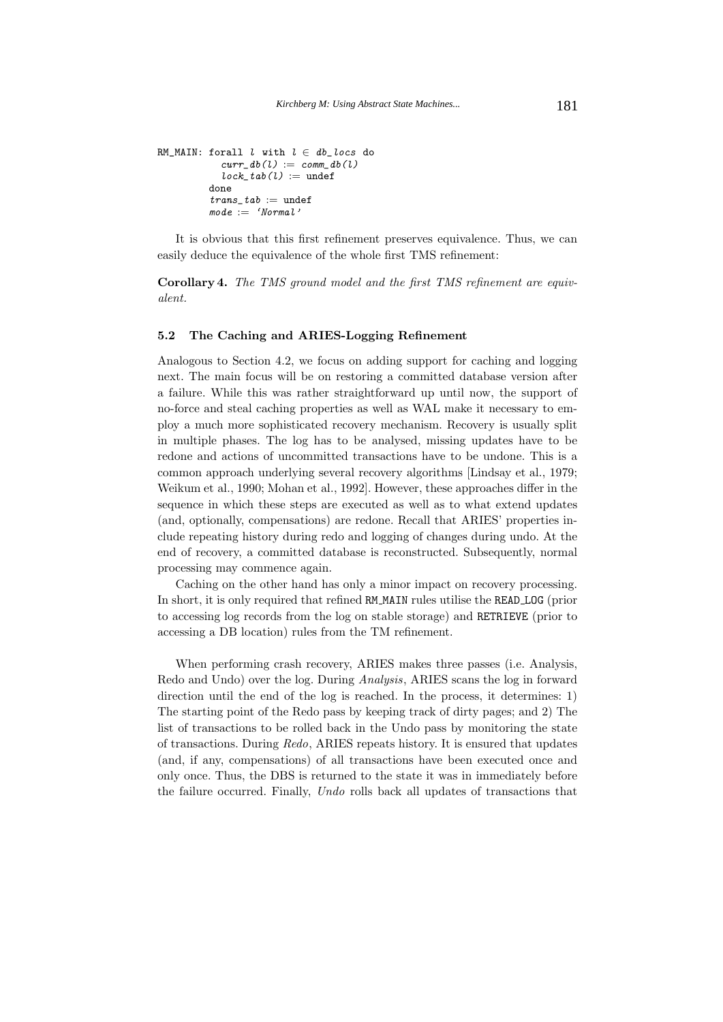```
RM_MAIN: forall l with l \in db\_locs do
            curr\_db(l) := comm\_db(l)lock\_tab(l) := undef
          done
          trans\_tab := undef
          \textit{mode} := 'Normal'
```
It is obvious that this first refinement preserves equivalence. Thus, we can easily deduce the equivalence of the whole first TMS refinement:

**Corollary 4.** *The TMS ground model and the first TMS refinement are equivalent.*

#### **5.2 The Caching and ARIES-Logging Refinement**

Analogous to Section 4.2, we focus on adding support for caching and logging next. The main focus will be on restoring a committed database version after a failure. While this was rather straightforward up until now, the support of no-force and steal caching properties as well as WAL make it necessary to employ a much more sophisticated recovery mechanism. Recovery is usually split in multiple phases. The log has to be analysed, missing updates have to be redone and actions of uncommitted transactions have to be undone. This is a common approach underlying several recovery algorithms [Lindsay et al., 1979; Weikum et al., 1990; Mohan et al., 1992]. However, these approaches differ in the sequence in which these steps are executed as well as to what extend updates (and, optionally, compensations) are redone. Recall that ARIES' properties include repeating history during redo and logging of changes during undo. At the end of recovery, a committed database is reconstructed. Subsequently, normal processing may commence again.

Caching on the other hand has only a minor impact on recovery processing. In short, it is only required that refined RM MAIN rules utilise the READ LOG (prior to accessing log records from the log on stable storage) and RETRIEVE (prior to accessing a DB location) rules from the TM refinement.

When performing crash recovery, ARIES makes three passes (i.e. Analysis, Redo and Undo) over the log. During *Analysis*, ARIES scans the log in forward direction until the end of the log is reached. In the process, it determines: 1) The starting point of the Redo pass by keeping track of dirty pages; and 2) The list of transactions to be rolled back in the Undo pass by monitoring the state of transactions. During *Redo*, ARIES repeats history. It is ensured that updates (and, if any, compensations) of all transactions have been executed once and only once. Thus, the DBS is returned to the state it was in immediately before the failure occurred. Finally, *Undo* rolls back all updates of transactions that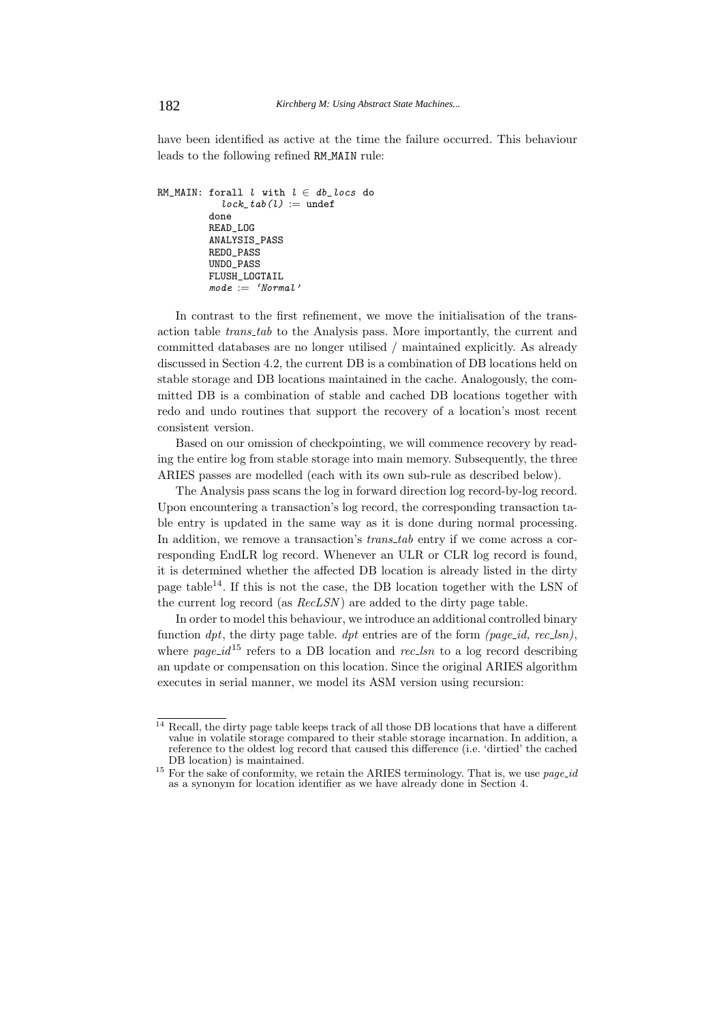have been identified as active at the time the failure occurred. This behaviour leads to the following refined RM MAIN rule:

```
RM_MAIN: forall l with l \in db\_locs do
           lock\_tab(1) := undef
         done
         READ_LOG
         ANALYSIS_PASS
         REDO_PASS
         UNDO_PASS
         FLUSH_LOGTAIL
         mode := 'Normal'
```
In contrast to the first refinement, we move the initialisation of the transaction table *trans tab* to the Analysis pass. More importantly, the current and committed databases are no longer utilised / maintained explicitly. As already discussed in Section 4.2, the current DB is a combination of DB locations held on stable storage and DB locations maintained in the cache. Analogously, the committed DB is a combination of stable and cached DB locations together with redo and undo routines that support the recovery of a location's most recent consistent version.

Based on our omission of checkpointing, we will commence recovery by reading the entire log from stable storage into main memory. Subsequently, the three ARIES passes are modelled (each with its own sub-rule as described below).

The Analysis pass scans the log in forward direction log record-by-log record. Upon encountering a transaction's log record, the corresponding transaction table entry is updated in the same way as it is done during normal processing. In addition, we remove a transaction's *trans tab* entry if we come across a corresponding EndLR log record. Whenever an ULR or CLR log record is found, it is determined whether the affected DB location is already listed in the dirty page table<sup>14</sup>. If this is not the case, the DB location together with the LSN of the current log record (as *RecLSN* ) are added to the dirty page table.

In order to model this behaviour, we introduce an additional controlled binary function *dpt*, the dirty page table. *dpt* entries are of the form *(page id, rec lsn)*, where  $page\_id^{15}$  refers to a DB location and *rec*<sub>ks</sub> to a log record describing an update or compensation on this location. Since the original ARIES algorithm executes in serial manner, we model its ASM version using recursion:

 $\frac{14}{14}$  Recall, the dirty page table keeps track of all those DB locations that have a different value in volatile storage compared to their stable storage incarnation. In addition, a reference to the oldest log record that caused this difference (i.e. 'dirtied' the cached

DB location) is maintained. <sup>15</sup> For the sake of conformity, we retain the ARIES terminology. That is, we use *page id* as a synonym for location identifier as we have already done in Section 4.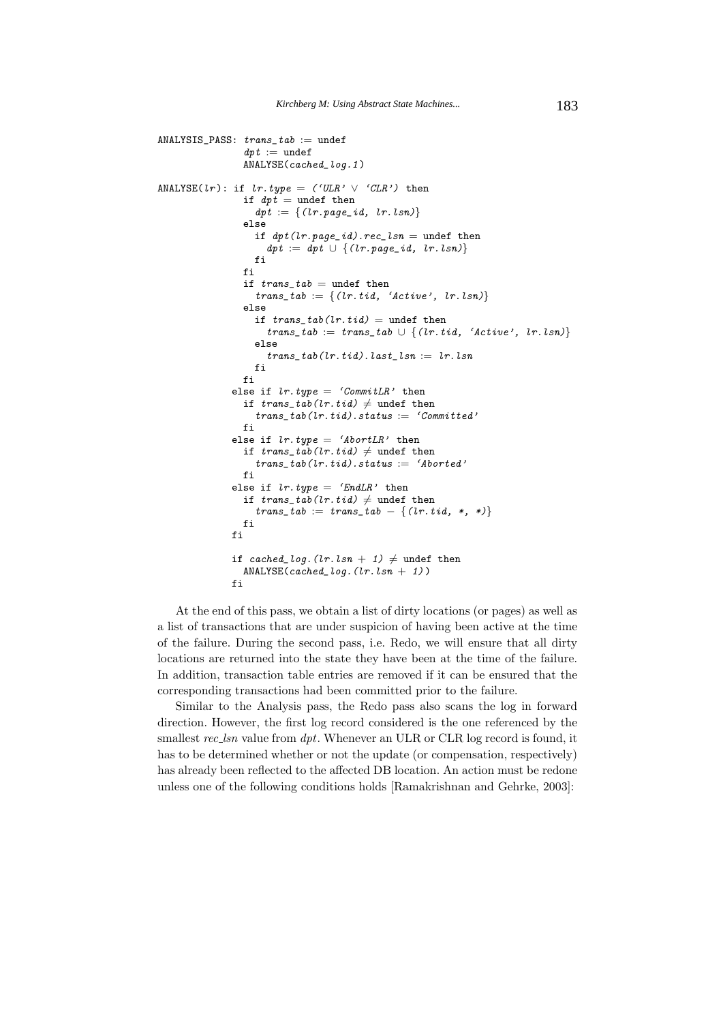```
ANALYSIS\_PASS: trans\_tab := undef
                dpt := undef
                ANALYSE(cached_log.1 )
ANALYSE(lr): if lr.type = ('ULAR' \lor 'CLR') then
                if dpt = undef then
                  dpt := \{(lr.\textit{page\_id}, lr.\textit{lsn})\}else
                  if dpt(lr.page_id).rec_lsn = undef then
                    dpt := dpt \cup \{(lr, page\_id, lr, lsn)\}\fi
                fi
                if trans\_tab = undef then
                  trans\_tab := \{(lr.tid, 'Active', lr.lsn)\}else
                  if trans\_tab(lr.tid) = undef then
                    trans\_tab := trans\_tab \cup \{(lr.tid, 'Active', lr.lsn)\}else
                    trans\_tab(lr.tid).last\_lsn := lr.lsnfi
                fi
              else if lr.type = 'CommitLR' then
                if trans\_tab(lr.tid) \neq undef then
                  trans\_tab(1r.tid).status := 'Committed'fi
              else if lr.type = 'AbortLR' then
                if trans\_tab(lr.tid) \neq undef then
                  trans\_tab(lr.tid).status := 'Aborted'f_ielse if lr.twe = 'EndLR' then
                \inf trans_tab(lr.tid) \neq undef then
                  trans\_tab := trans\_tab - \{(lr.tid, *, *)\}fi
              fi
              if cached_log.(lr.lsn + 1) \neq undef then
                ANALYSE(cached\_log. (lr.lsn + 1))fi
```
At the end of this pass, we obtain a list of dirty locations (or pages) as well as a list of transactions that are under suspicion of having been active at the time of the failure. During the second pass, i.e. Redo, we will ensure that all dirty locations are returned into the state they have been at the time of the failure. In addition, transaction table entries are removed if it can be ensured that the corresponding transactions had been committed prior to the failure.

Similar to the Analysis pass, the Redo pass also scans the log in forward direction. However, the first log record considered is the one referenced by the smallest *rec lsn* value from *dpt*. Whenever an ULR or CLR log record is found, it has to be determined whether or not the update (or compensation, respectively) has already been reflected to the affected DB location. An action must be redone unless one of the following conditions holds [Ramakrishnan and Gehrke, 2003]: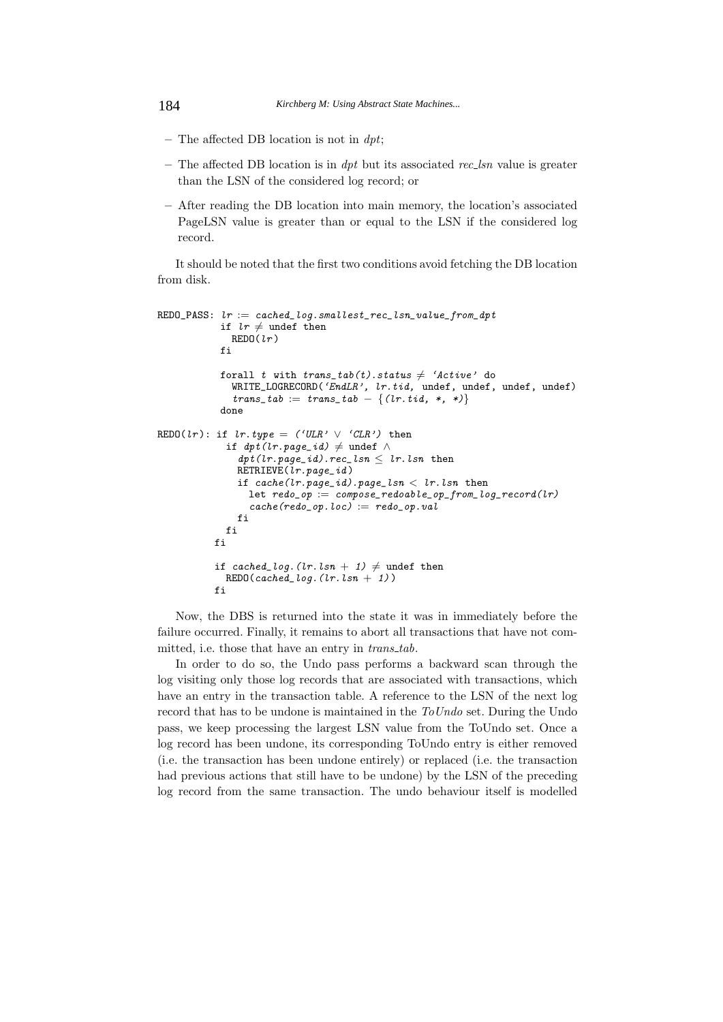- **–** The affected DB location is not in *dpt*;
- **–** The affected DB location is in *dpt* but its associated *rec lsn* value is greater than the LSN of the considered log record; or
- **–** After reading the DB location into main memory, the location's associated PageLSN value is greater than or equal to the LSN if the considered log record.

It should be noted that the first two conditions avoid fetching the DB location from disk.

```
REDO_PASS: Ir := cached\_log.smalllest\_rec\_lsn\_value\_from\_dptif lr \neq undef then
              REDO(lr)fi
            forall t with trans\_tab(t) . status \neq 'Active' do<br>
\cdotsWRITE_LOGRECORD('EndLR', lr.tid, undef, undef, undef, undef)
               trans\_tab := trans\_tab - \{(lr.tid, *, *)\}done
REDO(lr): if lr.type = ('URL' \vee 'CLR') then
              if dpt(lr.\text{page_id}) \neq \text{under} \wedgedpt(lr.page_id).rec\_lsn \leq lr.lsn then
               RETRIEVE(lr.page_id )
                if cache(lr, page_id).page\_lsn < lr.lsn then
                  let redo\_op := \overline{compose\_redoable\_op\_from\_log\_record(lr)}cache(redo_op,loc) := redo_op.valfi
             fi
           fi
           if cached_log.(lr. \text{lsn} + 1) \neq undef then
             RED0(cached\_log. (lr.lsn + 1))fi
```
Now, the DBS is returned into the state it was in immediately before the failure occurred. Finally, it remains to abort all transactions that have not committed, i.e. those that have an entry in *trans tab*.

In order to do so, the Undo pass performs a backward scan through the log visiting only those log records that are associated with transactions, which have an entry in the transaction table. A reference to the LSN of the next log record that has to be undone is maintained in the *ToUndo* set. During the Undo pass, we keep processing the largest LSN value from the ToUndo set. Once a log record has been undone, its corresponding ToUndo entry is either removed (i.e. the transaction has been undone entirely) or replaced (i.e. the transaction had previous actions that still have to be undone) by the LSN of the preceding log record from the same transaction. The undo behaviour itself is modelled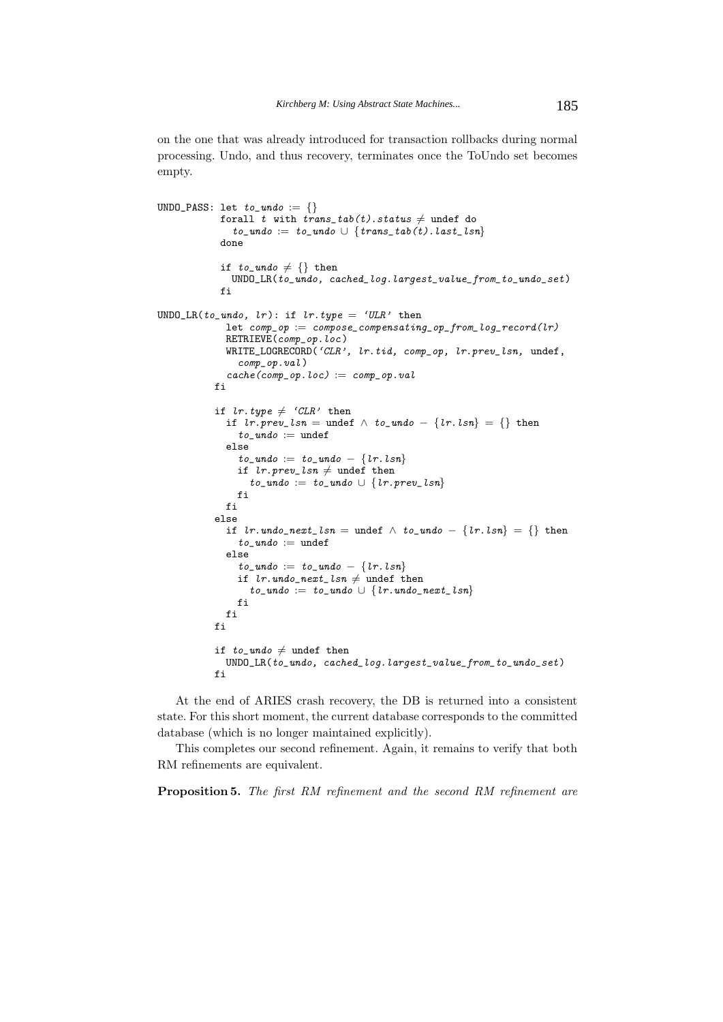on the one that was already introduced for transaction rollbacks during normal processing. Undo, and thus recovery, terminates once the ToUndo set becomes empty.

```
UNDO_PASS: let to\_undo := \{\}forall t with trans\_tab(t) . status \neq undef do
              to\_undo := to\_undo \cup \{trans\_tab(t).last\_lsn\}done
             if to\_undo \neq \{\} then
               UNDO_LR(to_undo, cached_log.largest_value_from_to_undo_set)
            fi
UNDO_LR(to_undo, lr): if lr. type = 'ULR' then
             let comp\_op := compose\_compensating\_op\_from\_log\_record(lr)RETRIEVE(comp_op.loc )
             WRITE_LOGRECORD('CLR', lr.tid, comp_op, lr.prev_lsn, undef,
                comp_op.val )
              cache(comp\_op.loc) := comp\_op.valfi
            if lr.type \neq 'CLR' then
             if lr. \text{prev\_lsn} = \text{under } \land \text{ to\_undo} - \{lr. \text{lsn}\} = \{\} then
                to\_undo := undef
             else
                to\_undo := to\_undo - \{lr.lsn\}if lr. \textit{prev\_lsn} \neq \text{under then}to\_undo := to\_undo \cup \{lr.\textit{prev\_lsn}\}fi
             fi
           else
             if lr.undo_next_lsn = undef \land to_undo - \{lr. lsn\} = \{\} then
                to\_undo := undef
             else
                to\_undo := to\_undo - \{lr. lsn\}if lr. undo_next_lsn \neq undef then
                  to\_undo := to\_undo \cup \{lr.undo\_next\_lsn\}fi
             fi
           fi
            if to\_undo \neq undef then
             UNDO_LR(to_undo, cached_log.largest_value_from_to_undo_set)
           fi
```
At the end of ARIES crash recovery, the DB is returned into a consistent state. For this short moment, the current database corresponds to the committed database (which is no longer maintained explicitly).

This completes our second refinement. Again, it remains to verify that both RM refinements are equivalent.

**Proposition 5.** *The first RM refinement and the second RM refinement are*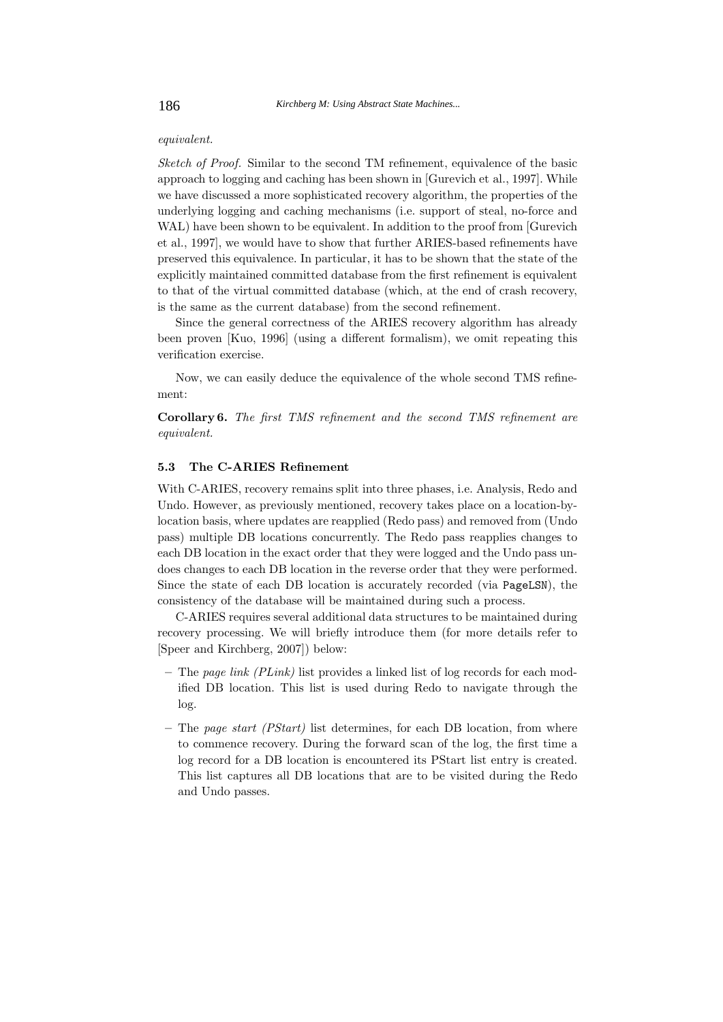### *equivalent.*

*Sketch of Proof.* Similar to the second TM refinement, equivalence of the basic approach to logging and caching has been shown in [Gurevich et al., 1997]. While we have discussed a more sophisticated recovery algorithm, the properties of the underlying logging and caching mechanisms (i.e. support of steal, no-force and WAL) have been shown to be equivalent. In addition to the proof from [Gurevich] et al., 1997], we would have to show that further ARIES-based refinements have preserved this equivalence. In particular, it has to be shown that the state of the explicitly maintained committed database from the first refinement is equivalent to that of the virtual committed database (which, at the end of crash recovery, is the same as the current database) from the second refinement.

Since the general correctness of the ARIES recovery algorithm has already been proven [Kuo, 1996] (using a different formalism), we omit repeating this verification exercise.

Now, we can easily deduce the equivalence of the whole second TMS refinement:

**Corollary 6.** *The first TMS refinement and the second TMS refinement are equivalent.*

#### **5.3 The C-ARIES Refinement**

With C-ARIES, recovery remains split into three phases, i.e. Analysis, Redo and Undo. However, as previously mentioned, recovery takes place on a location-bylocation basis, where updates are reapplied (Redo pass) and removed from (Undo pass) multiple DB locations concurrently. The Redo pass reapplies changes to each DB location in the exact order that they were logged and the Undo pass undoes changes to each DB location in the reverse order that they were performed. Since the state of each DB location is accurately recorded (via PageLSN), the consistency of the database will be maintained during such a process.

C-ARIES requires several additional data structures to be maintained during recovery processing. We will briefly introduce them (for more details refer to [Speer and Kirchberg, 2007]) below:

- **–** The *page link (PLink)* list provides a linked list of log records for each modified DB location. This list is used during Redo to navigate through the log.
- **–** The *page start (PStart)* list determines, for each DB location, from where to commence recovery. During the forward scan of the log, the first time a log record for a DB location is encountered its PStart list entry is created. This list captures all DB locations that are to be visited during the Redo and Undo passes.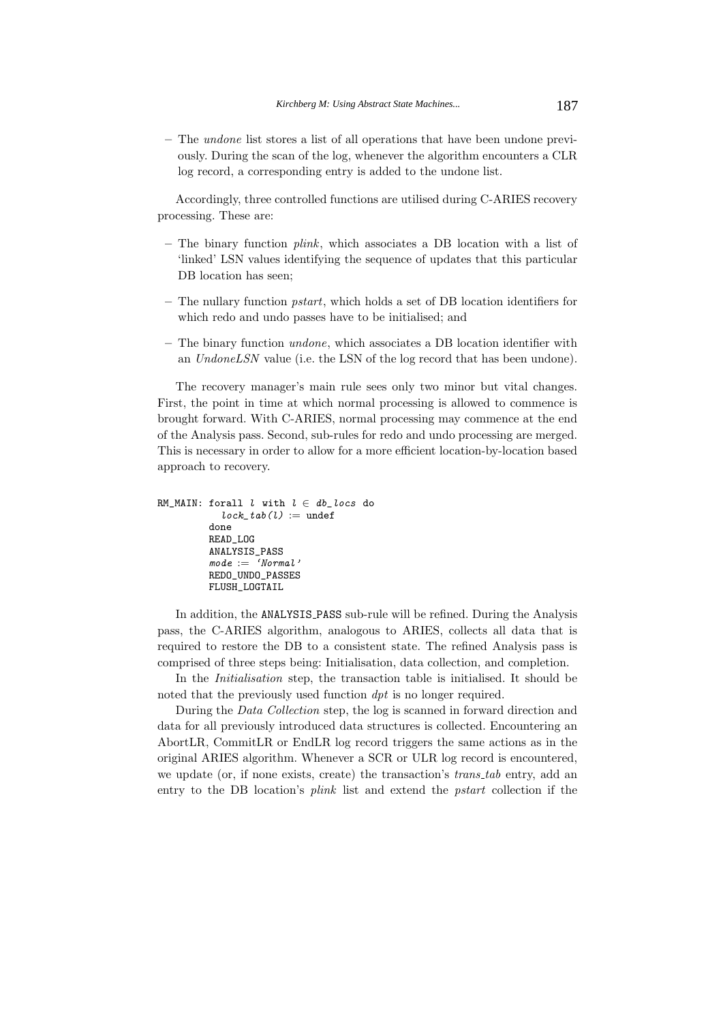**–** The *undone* list stores a list of all operations that have been undone previously. During the scan of the log, whenever the algorithm encounters a CLR log record, a corresponding entry is added to the undone list.

Accordingly, three controlled functions are utilised during C-ARIES recovery processing. These are:

- **–** The binary function *plink*, which associates a DB location with a list of 'linked' LSN values identifying the sequence of updates that this particular DB location has seen;
- **–** The nullary function *pstart*, which holds a set of DB location identifiers for which redo and undo passes have to be initialised; and
- **–** The binary function *undone*, which associates a DB location identifier with an *UndoneLSN* value (i.e. the LSN of the log record that has been undone).

The recovery manager's main rule sees only two minor but vital changes. First, the point in time at which normal processing is allowed to commence is brought forward. With C-ARIES, normal processing may commence at the end of the Analysis pass. Second, sub-rules for redo and undo processing are merged. This is necessary in order to allow for a more efficient location-by-location based approach to recovery.

```
RM_MAIN: forall l with l \in db\_locs do
           lock\_tab(l) := undef
          done
         READ_LOG
         ANALYSIS_PASS
         \textit{mode} := 'Normal'REDO_UNDO_PASSES
         FLUSH_LOGTAIL
```
In addition, the ANALYSIS PASS sub-rule will be refined. During the Analysis pass, the C-ARIES algorithm, analogous to ARIES, collects all data that is required to restore the DB to a consistent state. The refined Analysis pass is comprised of three steps being: Initialisation, data collection, and completion.

In the *Initialisation* step, the transaction table is initialised. It should be noted that the previously used function *dpt* is no longer required.

During the *Data Collection* step, the log is scanned in forward direction and data for all previously introduced data structures is collected. Encountering an AbortLR, CommitLR or EndLR log record triggers the same actions as in the original ARIES algorithm. Whenever a SCR or ULR log record is encountered, we update (or, if none exists, create) the transaction's *trans tab* entry, add an entry to the DB location's *plink* list and extend the *pstart* collection if the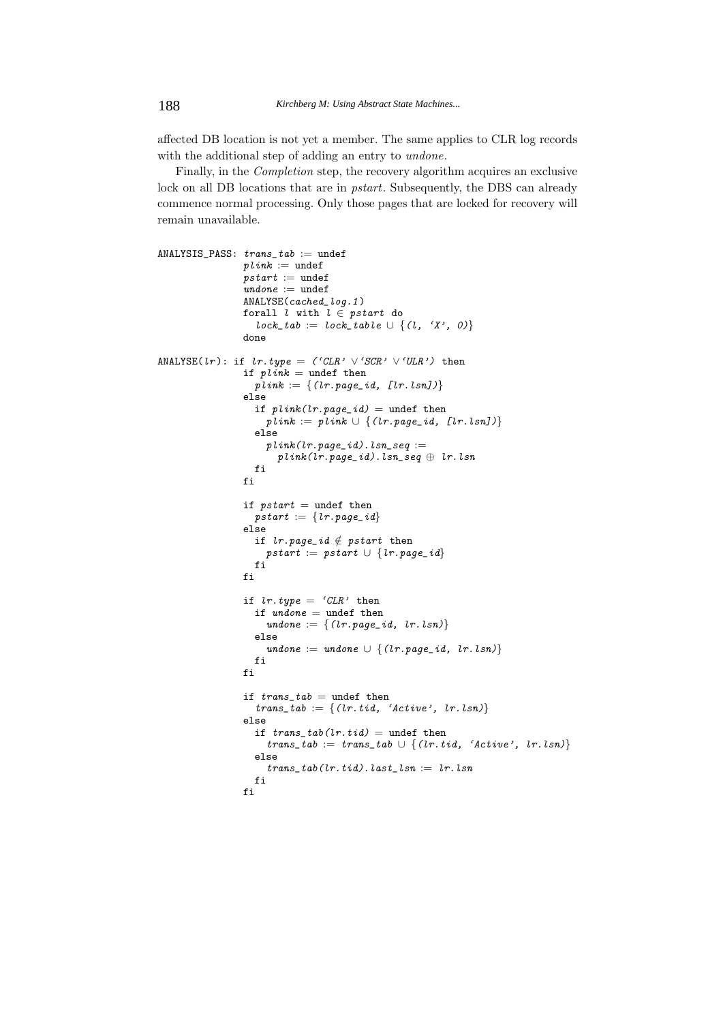affected DB location is not yet a member. The same applies to CLR log records with the additional step of adding an entry to *undone*.

Finally, in the *Completion* step, the recovery algorithm acquires an exclusive lock on all DB locations that are in *pstart*. Subsequently, the DBS can already commence normal processing. Only those pages that are locked for recovery will remain unavailable.

```
ANALYSIS\_PASS: trans\_tab := undef
                  plink := undef
                  pstart := undef
                  undone := undef
                  ANALYSE(cached_log.1 )
                  forall l with l \in pstart do
                    lock\_tab := lock\_table \cup \{(l, 'X', 0)\}done
ANALYSE(lr): if lr.type = ('CLR' \lor 'SCR' \lor 'URL') then
                  if plink = undef then
                    \textit{pink} := \{ (\textit{lr}.\textit{page\_id}, \textit{[lr}.\textit{lsn}]) \}else
                    if plink(lr.page_id) = undef then
                       plink := plink \cup \{(lr.\textit{page\_id}, [lr.\textit{lsn}])\}else
                       plink(lr.\textit{page\_id}).lsn\_seq :=plink(lr.\textit{page\_id}).\textit{lsn\_seq} \oplus \textit{l}r.\textit{lsn}fi
                  fi
                  if pstart = undef then
                    ps \textit{tart} := \{ \textit{l}r.\textit{page\_id} \}else
                    if lr.page_id \notin pstart then
                      pstart := pstart \cup \{lr.\mathit{page\_id}\}fi
                  fi
                  if lr.type = 'CLR' then
                    if undone = undef then
                       undone := \{(lr, page\_id, lr.lsn)\}else
                       undone := undone \cup {(lr.page_id, lr.lsn)}
                    fi
                  fi
                  if trans\_tab = undef then
                     trans\_tab := \{(lr.tid, 'Active', lr.lsn)\}else
                    if trans\_tab(lr.tid) = undef then
                       trans\_tab := trans\_tab \cup \{(lr.tid, 'Active', lr.lsn)\}else
                       trans\_tab(lr.tid).last\_lsn := lr.lsnfi
                  fi
```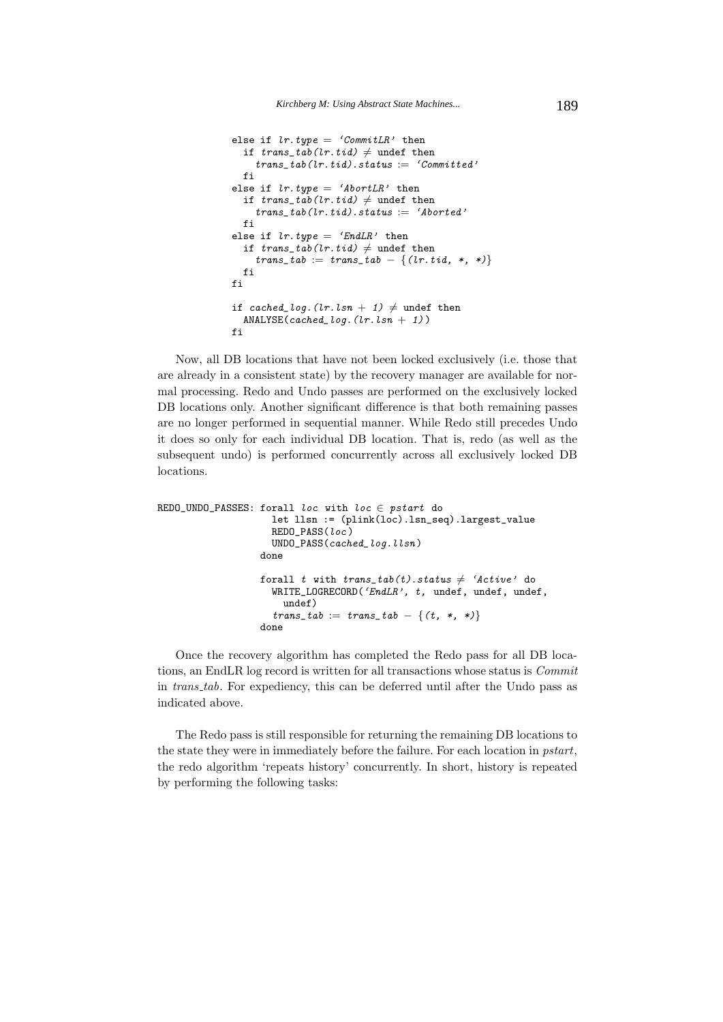```
else if lr.type = 'CommitLR' then
  if trans\_tab(lr.tid) \neq undef then
    trans\_tab(lr.tid).status := 'Committed'fi
else if lr.type = 'AbortLR' then
  if trans\_tab(lr.tid) \neq undef then
    trans\_tab(lr.tid).status := 'Aborted'fi
else if lr.type = 'EndLR' then
  if trans\_tab(lr.tid) \neq undef then
    trans\_tab := trans\_tab - \{(lr.tid, *, *)\}fi
fi
if cached_log.(lr.lsn + 1) \neq undef then
  ANALYSE(cached\_log. (lr.lsn + 1))fi
```
Now, all DB locations that have not been locked exclusively (i.e. those that are already in a consistent state) by the recovery manager are available for normal processing. Redo and Undo passes are performed on the exclusively locked DB locations only. Another significant difference is that both remaining passes are no longer performed in sequential manner. While Redo still precedes Undo it does so only for each individual DB location. That is, redo (as well as the subsequent undo) is performed concurrently across all exclusively locked DB locations.

```
REDO_UNDO_PASSES: forall loc with loc \in pstart do
                     let llsn := (plink(loc).lsn_seq).largest_value
                     REDO_PASS(loc )
                     UNDO_PASS(cached_log.llsn )
                   done
                   forall t with trans\_tab(t) . status \neq 'Active' do<br>
                     WRITE_LOGRECORD('EndLR', t, undef, undef, undef,
                       undef)
                     trans\_tab := trans\_tab - \{(t, *, *)\}done
```
Once the recovery algorithm has completed the Redo pass for all DB locations, an EndLR log record is written for all transactions whose status is *Commit* in *trans tab*. For expediency, this can be deferred until after the Undo pass as indicated above.

The Redo pass is still responsible for returning the remaining DB locations to the state they were in immediately before the failure. For each location in *pstart*, the redo algorithm 'repeats history' concurrently. In short, history is repeated by performing the following tasks: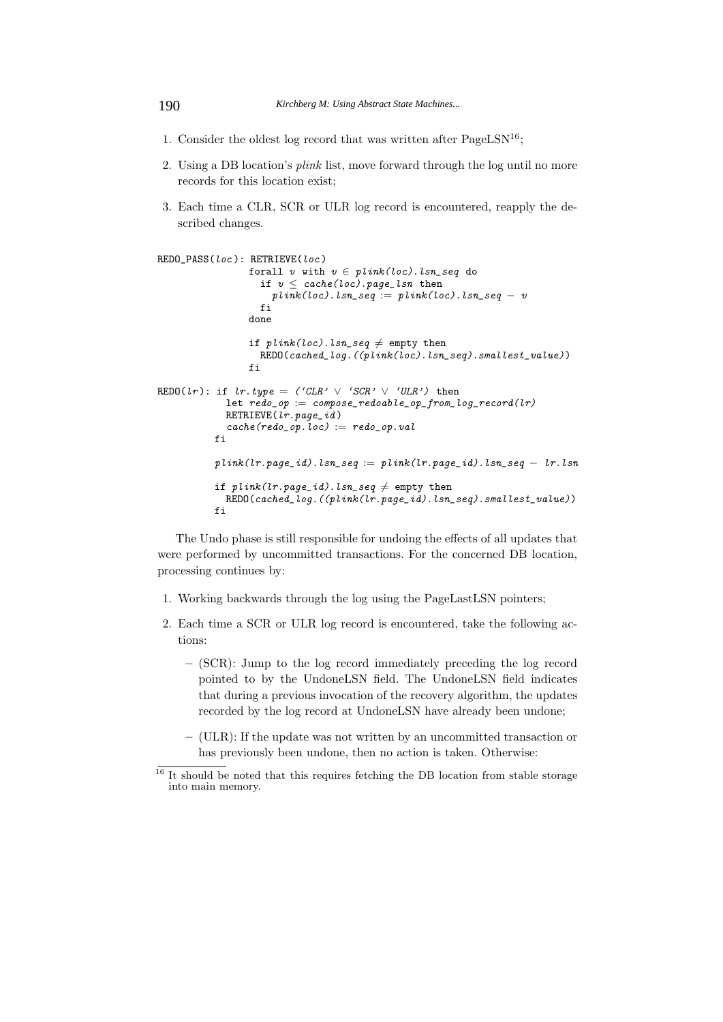- 1. Consider the oldest log record that was written after  $PageESN^{16}$ ;
- 2. Using a DB location's *plink* list, move forward through the log until no more records for this location exist;
- 3. Each time a CLR, SCR or ULR log record is encountered, reapply the described changes.

```
REDO_PASS(loc ): RETRIEVE(loc )
                 forall v with v \in \text{plink}(loc). lsn_seq do
                    if v \leq cache(loc). page_lsn then
                      plink(loc).lsn_seq := plink(loc).lsn_seq - v
                    fi
                 done
                  if plink(loc). lsn\_seq \neq empty then
                    REDO(cached_log.((plink(loc).lsn_seq).smallest_value))
                 fi
REDO(lr): if lr.type = ('CLR' \vee 'SCR' \vee 'URL') then
             let redo\_op := \text{composite\_redouble\_op\_from\_log\_record}(lr)RETRUE(lr.\textit{page\_id})cache(redo_op.\,loc) := redo_op.\,valfi
           plink(lr.page_id).lsn\_seq := plink(lr.page_id).lsn\_seq - lr.lsnif plink(lr.\text{page_id}). lsn\_seq \neq \text{empty then}REDO(cached_log.((plink(lr.page_id).lsn_seq).smallest_value))
           fi
```
The Undo phase is still responsible for undoing the effects of all updates that were performed by uncommitted transactions. For the concerned DB location, processing continues by:

- 1. Working backwards through the log using the PageLastLSN pointers;
- 2. Each time a SCR or ULR log record is encountered, take the following actions:
	- **–** (SCR): Jump to the log record immediately preceding the log record pointed to by the UndoneLSN field. The UndoneLSN field indicates that during a previous invocation of the recovery algorithm, the updates recorded by the log record at UndoneLSN have already been undone;
	- **–** (ULR): If the update was not written by an uncommitted transaction or has previously been undone, then no action is taken. Otherwise:

<sup>&</sup>lt;sup>16</sup> It should be noted that this requires fetching the DB location from stable storage into main memory.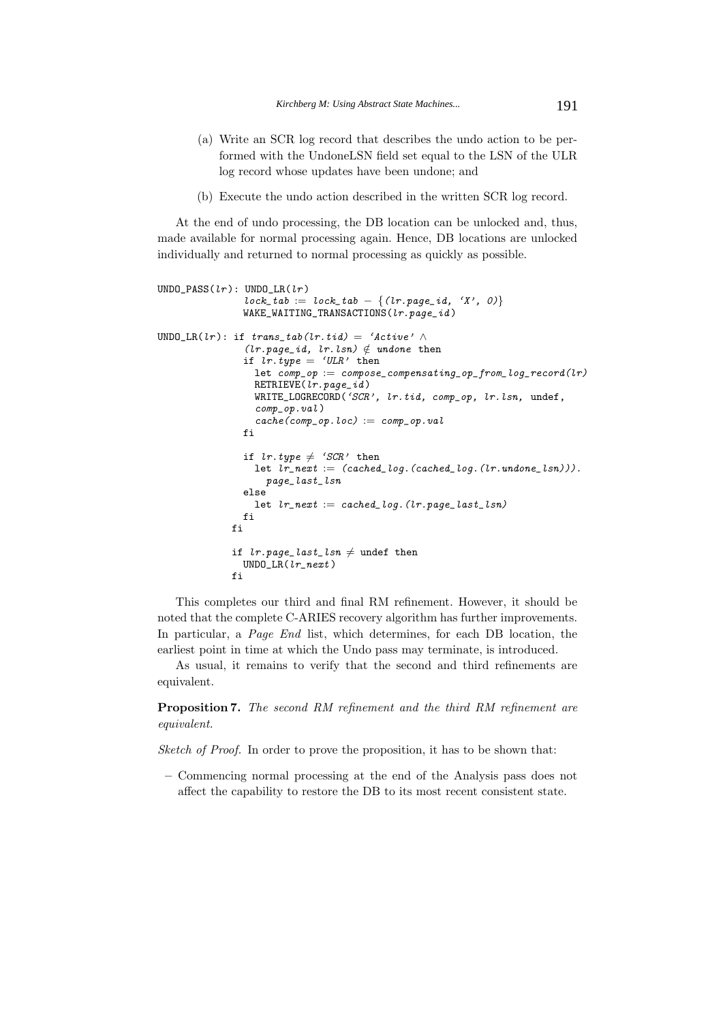- (a) Write an SCR log record that describes the undo action to be performed with the UndoneLSN field set equal to the LSN of the ULR log record whose updates have been undone; and
- (b) Execute the undo action described in the written SCR log record.

At the end of undo processing, the DB location can be unlocked and, thus, made available for normal processing again. Hence, DB locations are unlocked individually and returned to normal processing as quickly as possible.

```
UNDO PASS(lr): UNDO LR(lr)
                 lock\_tab := lock\_tab - \{(lr.\textit{page\_id}, 'X', 0)\}WAKE_WAITING_TRANSACTIONS(lr.page_id)
UNDO_LR(lr): if trans\_tab(lr.title) = 'Active' \wedge(lr.\text{page\_id}, lr.\text{lsn}) \notin \text{undone then}if ir.type = 'ULR' then
                   let comp\_op := compose\_compensating\_op\_from\_log\_record(lr)RETRUE(lr.\textit{page\_id})WRITE_LOGRECORD('SCR', lr.tid, comp_op, lr.lsn, undef,
                   comp\_op.val)
                   cache(comp\_op.loc) := comp\_op.valfi
                 if lr.type \neq 'SCR' then
                   let lr\_next := (cached\_log. (cached\_log. (lr.undone\_lsn))).page_last_lsn
                 else
                   let lr\_next := cached\_log. (lr.page\_last\_lsn)fi
              fi
               if lr.page\_last\_lsn \neq undef then
                 UNDO_LR(lr_next )
              fi
```
This completes our third and final RM refinement. However, it should be noted that the complete C-ARIES recovery algorithm has further improvements. In particular, a *Page End* list, which determines, for each DB location, the earliest point in time at which the Undo pass may terminate, is introduced.

As usual, it remains to verify that the second and third refinements are equivalent.

**Proposition 7.** *The second RM refinement and the third RM refinement are equivalent.*

*Sketch of Proof.* In order to prove the proposition, it has to be shown that:

**–** Commencing normal processing at the end of the Analysis pass does not affect the capability to restore the DB to its most recent consistent state.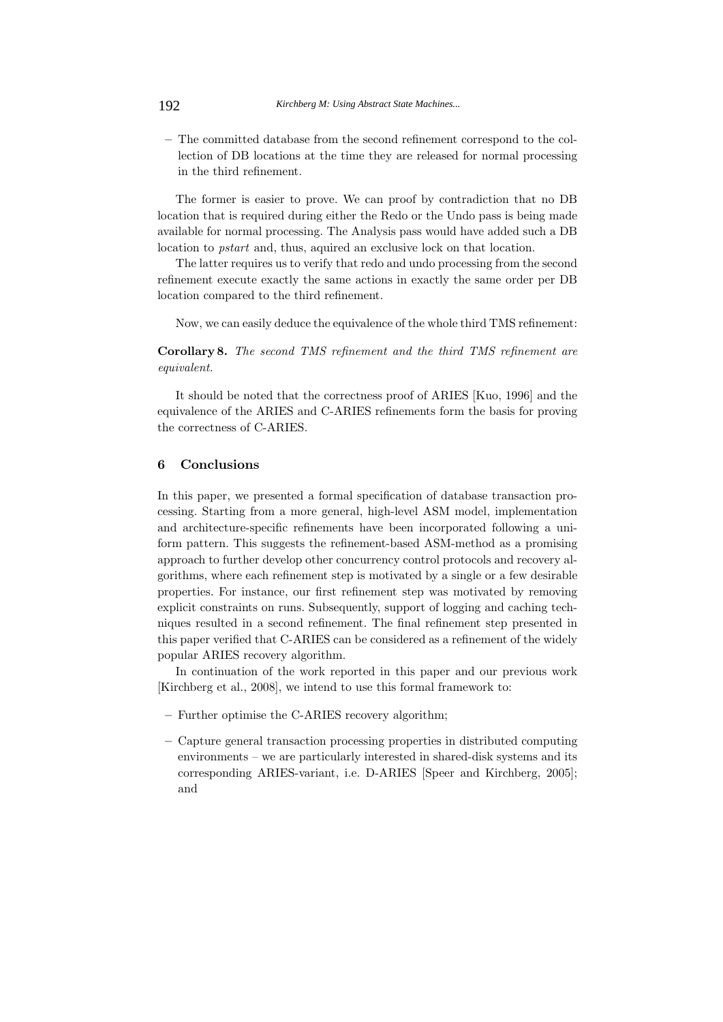**–** The committed database from the second refinement correspond to the collection of DB locations at the time they are released for normal processing in the third refinement.

The former is easier to prove. We can proof by contradiction that no DB location that is required during either the Redo or the Undo pass is being made available for normal processing. The Analysis pass would have added such a DB location to *pstart* and, thus, aquired an exclusive lock on that location.

The latter requires us to verify that redo and undo processing from the second refinement execute exactly the same actions in exactly the same order per DB location compared to the third refinement.

Now, we can easily deduce the equivalence of the whole third TMS refinement:

**Corollary 8.** *The second TMS refinement and the third TMS refinement are equivalent.*

It should be noted that the correctness proof of ARIES [Kuo, 1996] and the equivalence of the ARIES and C-ARIES refinements form the basis for proving the correctness of C-ARIES.

## **6 Conclusions**

In this paper, we presented a formal specification of database transaction processing. Starting from a more general, high-level ASM model, implementation and architecture-specific refinements have been incorporated following a uniform pattern. This suggests the refinement-based ASM-method as a promising approach to further develop other concurrency control protocols and recovery algorithms, where each refinement step is motivated by a single or a few desirable properties. For instance, our first refinement step was motivated by removing explicit constraints on runs. Subsequently, support of logging and caching techniques resulted in a second refinement. The final refinement step presented in this paper verified that C-ARIES can be considered as a refinement of the widely popular ARIES recovery algorithm.

In continuation of the work reported in this paper and our previous work [Kirchberg et al., 2008], we intend to use this formal framework to:

- **–** Further optimise the C-ARIES recovery algorithm;
- **–** Capture general transaction processing properties in distributed computing environments – we are particularly interested in shared-disk systems and its corresponding ARIES-variant, i.e. D-ARIES [Speer and Kirchberg, 2005]; and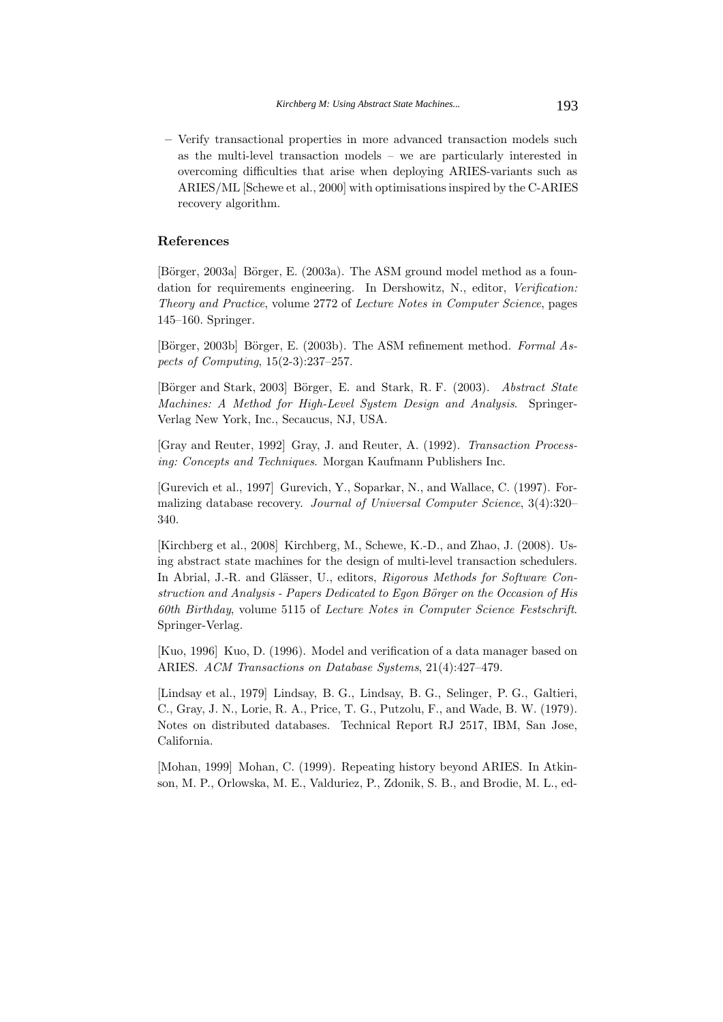**–** Verify transactional properties in more advanced transaction models such as the multi-level transaction models – we are particularly interested in overcoming difficulties that arise when deploying ARIES-variants such as ARIES/ML [Schewe et al., 2000] with optimisations inspired by the C-ARIES recovery algorithm.

## **References**

[Börger, 2003a] Börger, E. (2003a). The ASM ground model method as a foundation for requirements engineering. In Dershowitz, N., editor, *Verification: Theory and Practice*, volume 2772 of *Lecture Notes in Computer Science*, pages 145–160. Springer.

[Börger, 2003b] Börger, E. (2003b). The ASM refinement method. *Formal Aspects of Computing*, 15(2-3):237–257.

[B¨orger and Stark, 2003] B¨orger, E. and Stark, R. F. (2003). *Abstract State Machines: A Method for High-Level System Design and Analysis*. Springer-Verlag New York, Inc., Secaucus, NJ, USA.

[Gray and Reuter, 1992] Gray, J. and Reuter, A. (1992). *Transaction Processing: Concepts and Techniques*. Morgan Kaufmann Publishers Inc.

[Gurevich et al., 1997] Gurevich, Y., Soparkar, N., and Wallace, C. (1997). Formalizing database recovery. *Journal of Universal Computer Science*, 3(4):320– 340.

[Kirchberg et al., 2008] Kirchberg, M., Schewe, K.-D., and Zhao, J. (2008). Using abstract state machines for the design of multi-level transaction schedulers. In Abrial, J.-R. and Glässer, U., editors, *Rigorous Methods for Software Construction and Analysis - Papers Dedicated to Egon Börger on the Occasion of His 60th Birthday*, volume 5115 of *Lecture Notes in Computer Science Festschrift*. Springer-Verlag.

[Kuo, 1996] Kuo, D. (1996). Model and verification of a data manager based on ARIES. *ACM Transactions on Database Systems*, 21(4):427–479.

[Lindsay et al., 1979] Lindsay, B. G., Lindsay, B. G., Selinger, P. G., Galtieri, C., Gray, J. N., Lorie, R. A., Price, T. G., Putzolu, F., and Wade, B. W. (1979). Notes on distributed databases. Technical Report RJ 2517, IBM, San Jose, California.

[Mohan, 1999] Mohan, C. (1999). Repeating history beyond ARIES. In Atkinson, M. P., Orlowska, M. E., Valduriez, P., Zdonik, S. B., and Brodie, M. L., ed